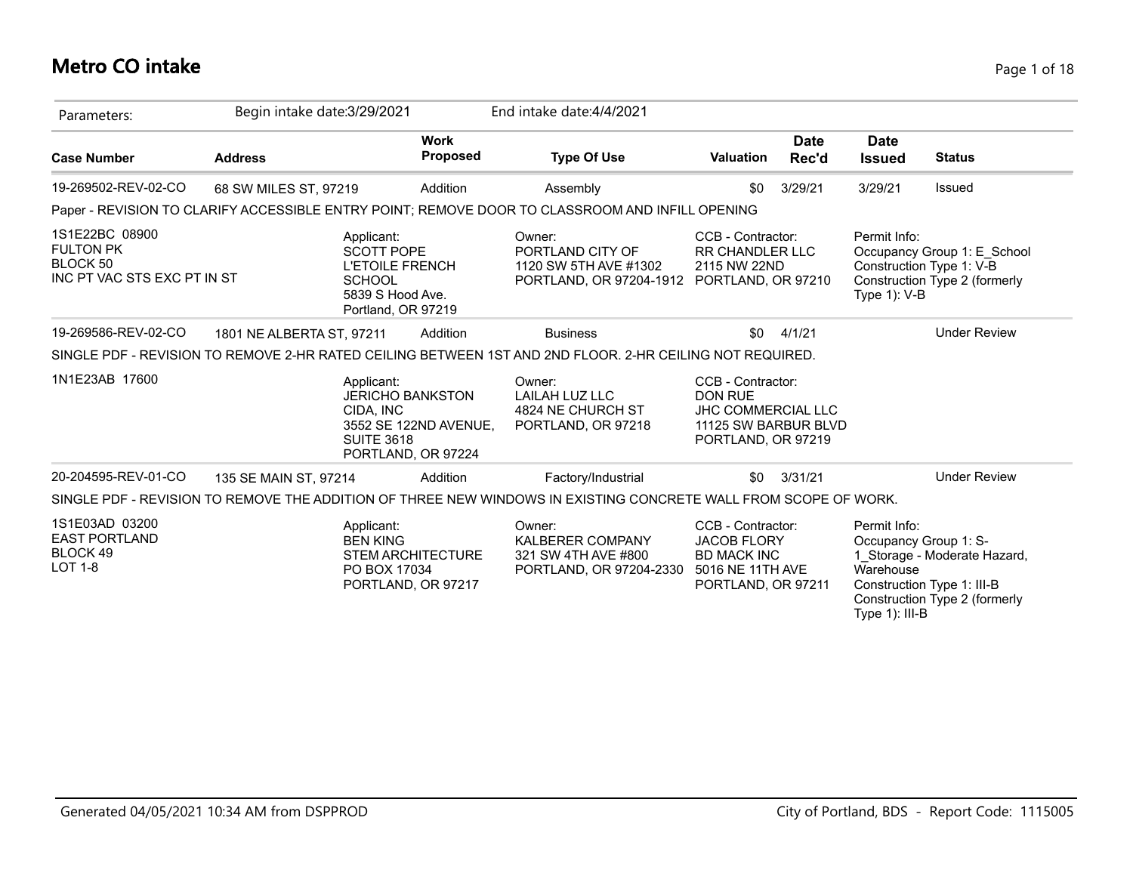# **Metro CO intake** Page 1 of 18

| Parameters:                                                                   | Begin intake date: 3/29/2021 |                                                                                                                      |                                                                        | End intake date: 4/4/2021                                                                                       |                                                                                                                |                      |                                                                      |                                                                                             |
|-------------------------------------------------------------------------------|------------------------------|----------------------------------------------------------------------------------------------------------------------|------------------------------------------------------------------------|-----------------------------------------------------------------------------------------------------------------|----------------------------------------------------------------------------------------------------------------|----------------------|----------------------------------------------------------------------|---------------------------------------------------------------------------------------------|
| <b>Case Number</b>                                                            | <b>Address</b>               |                                                                                                                      | <b>Work</b><br>Proposed                                                | <b>Type Of Use</b>                                                                                              | <b>Valuation</b>                                                                                               | <b>Date</b><br>Rec'd | <b>Date</b><br><b>Issued</b>                                         | <b>Status</b>                                                                               |
| 19-269502-REV-02-CO                                                           | 68 SW MILES ST, 97219        |                                                                                                                      | Addition                                                               | Assembly                                                                                                        | \$0                                                                                                            | 3/29/21              | 3/29/21                                                              | Issued                                                                                      |
|                                                                               |                              |                                                                                                                      |                                                                        | Paper - REVISION TO CLARIFY ACCESSIBLE ENTRY POINT; REMOVE DOOR TO CLASSROOM AND INFILL OPENING                 |                                                                                                                |                      |                                                                      |                                                                                             |
| 1S1E22BC 08900<br><b>FULTON PK</b><br>BLOCK 50<br>INC PT VAC STS EXC PT IN ST |                              | Applicant:<br><b>SCOTT POPE</b><br><b>L'ETOILE FRENCH</b><br><b>SCHOOL</b><br>5839 S Hood Ave.<br>Portland, OR 97219 |                                                                        | Owner:<br>PORTLAND CITY OF<br>1120 SW 5TH AVE #1302<br>PORTLAND, OR 97204-1912                                  | CCB - Contractor:<br><b>RR CHANDLER LLC</b><br>2115 NW 22ND<br>PORTLAND, OR 97210                              |                      | Permit Info:<br>Type $1$ ): V-B                                      | Occupancy Group 1: E School<br>Construction Type 1: V-B<br>Construction Type 2 (formerly    |
| 19-269586-REV-02-CO                                                           | 1801 NE ALBERTA ST, 97211    |                                                                                                                      | Addition                                                               | <b>Business</b>                                                                                                 | \$0                                                                                                            | 4/1/21               |                                                                      | <b>Under Review</b>                                                                         |
|                                                                               |                              |                                                                                                                      |                                                                        | SINGLE PDF - REVISION TO REMOVE 2-HR RATED CEILING BETWEEN 1ST AND 2ND FLOOR. 2-HR CEILING NOT REQUIRED.        |                                                                                                                |                      |                                                                      |                                                                                             |
| 1N1E23AB 17600                                                                |                              | Applicant:<br>CIDA, INC<br><b>SUITE 3618</b>                                                                         | <b>JERICHO BANKSTON</b><br>3552 SE 122ND AVENUE,<br>PORTLAND, OR 97224 | Owner:<br>LAILAH LUZ LLC<br>4824 NE CHURCH ST<br>PORTLAND, OR 97218                                             | CCB - Contractor:<br><b>DON RUE</b><br><b>JHC COMMERCIAL LLC</b><br>11125 SW BARBUR BLVD<br>PORTLAND, OR 97219 |                      |                                                                      |                                                                                             |
| 20-204595-REV-01-CO                                                           | 135 SE MAIN ST, 97214        |                                                                                                                      | Addition                                                               | Factory/Industrial                                                                                              | \$0                                                                                                            | 3/31/21              |                                                                      | <b>Under Review</b>                                                                         |
|                                                                               |                              |                                                                                                                      |                                                                        | SINGLE PDF - REVISION TO REMOVE THE ADDITION OF THREE NEW WINDOWS IN EXISTING CONCRETE WALL FROM SCOPE OF WORK. |                                                                                                                |                      |                                                                      |                                                                                             |
| 1S1E03AD 03200<br><b>EAST PORTLAND</b><br>BLOCK 49<br><b>LOT 1-8</b>          |                              | Applicant:<br><b>BEN KING</b><br>PO BOX 17034                                                                        | <b>STEM ARCHITECTURE</b><br>PORTLAND, OR 97217                         | Owner:<br><b>KALBERER COMPANY</b><br>321 SW 4TH AVE #800<br>PORTLAND, OR 97204-2330                             | CCB - Contractor:<br><b>JACOB FLORY</b><br><b>BD MACK INC</b><br>5016 NE 11TH AVE<br>PORTLAND, OR 97211        |                      | Permit Info:<br>Occupancy Group 1: S-<br>Warehouse<br>Type 1): III-B | 1 Storage - Moderate Hazard,<br>Construction Type 1: III-B<br>Construction Type 2 (formerly |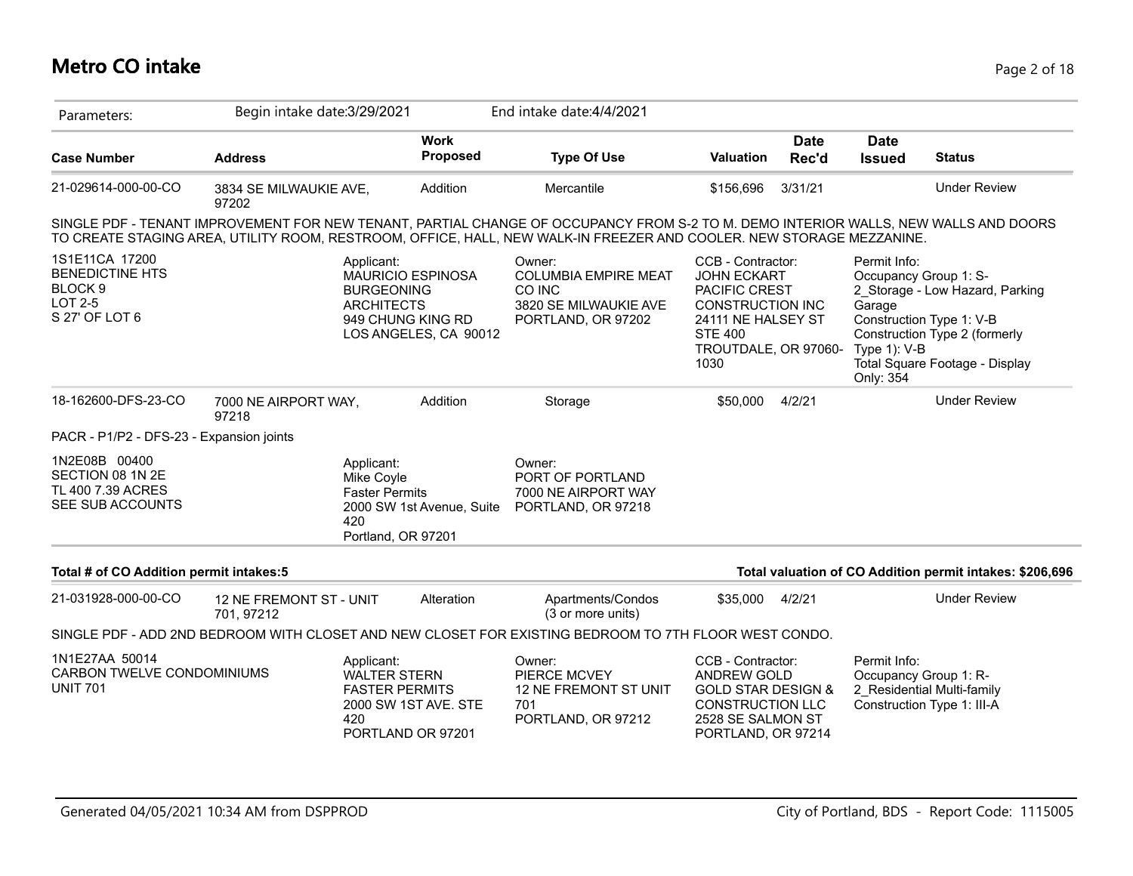# **Metro CO intake** Page 2 of 18

| Parameters:                                                                                 | Begin intake date: 3/29/2021          |                                                                                                                |                                | End intake date: 4/4/2021                                                                                                                                                                                                                                   |                                                                                                                                                             |                      |                                                                              |                                                                                                                                |
|---------------------------------------------------------------------------------------------|---------------------------------------|----------------------------------------------------------------------------------------------------------------|--------------------------------|-------------------------------------------------------------------------------------------------------------------------------------------------------------------------------------------------------------------------------------------------------------|-------------------------------------------------------------------------------------------------------------------------------------------------------------|----------------------|------------------------------------------------------------------------------|--------------------------------------------------------------------------------------------------------------------------------|
| <b>Case Number</b>                                                                          | <b>Address</b>                        |                                                                                                                | <b>Work</b><br><b>Proposed</b> | <b>Type Of Use</b>                                                                                                                                                                                                                                          | Valuation                                                                                                                                                   | <b>Date</b><br>Rec'd | <b>Date</b><br><b>Issued</b>                                                 | <b>Status</b>                                                                                                                  |
| 21-029614-000-00-CO                                                                         | 3834 SE MILWAUKIE AVE,<br>97202       |                                                                                                                | Addition                       | Mercantile                                                                                                                                                                                                                                                  | \$156,696                                                                                                                                                   | 3/31/21              |                                                                              | <b>Under Review</b>                                                                                                            |
|                                                                                             |                                       |                                                                                                                |                                | SINGLE PDF - TENANT IMPROVEMENT FOR NEW TENANT, PARTIAL CHANGE OF OCCUPANCY FROM S-2 TO M. DEMO INTERIOR WALLS, NEW WALLS AND DOORS<br>TO CREATE STAGING AREA, UTILITY ROOM, RESTROOM, OFFICE, HALL, NEW WALK-IN FREEZER AND COOLER. NEW STORAGE MEZZANINE. |                                                                                                                                                             |                      |                                                                              |                                                                                                                                |
| 1S1E11CA 17200<br><b>BENEDICTINE HTS</b><br>BLOCK <sub>9</sub><br>LOT 2-5<br>S 27' OF LOT 6 |                                       | Applicant:<br><b>MAURICIO ESPINOSA</b><br><b>BURGEONING</b><br><b>ARCHITECTS</b><br>949 CHUNG KING RD          | LOS ANGELES, CA 90012          | Owner:<br><b>COLUMBIA EMPIRE MEAT</b><br>CO INC<br>3820 SE MILWAUKIE AVE<br>PORTLAND, OR 97202                                                                                                                                                              | CCB - Contractor:<br><b>JOHN ECKART</b><br>PACIFIC CREST<br><b>CONSTRUCTION INC</b><br>24111 NE HALSEY ST<br><b>STE 400</b><br>TROUTDALE, OR 97060-<br>1030 |                      | Permit Info:<br>Occupancy Group 1: S-<br>Garage<br>Type 1): V-B<br>Only: 354 | 2_Storage - Low Hazard, Parking<br>Construction Type 1: V-B<br>Construction Type 2 (formerly<br>Total Square Footage - Display |
| 18-162600-DFS-23-CO                                                                         | 7000 NE AIRPORT WAY,<br>97218         |                                                                                                                | Addition                       | Storage                                                                                                                                                                                                                                                     | \$50,000                                                                                                                                                    | 4/2/21               |                                                                              | <b>Under Review</b>                                                                                                            |
| PACR - P1/P2 - DFS-23 - Expansion joints                                                    |                                       |                                                                                                                |                                |                                                                                                                                                                                                                                                             |                                                                                                                                                             |                      |                                                                              |                                                                                                                                |
| 1N2E08B 00400<br>SECTION 08 1N 2E<br>TL 400 7.39 ACRES<br>SEE SUB ACCOUNTS                  |                                       | Applicant:<br>Mike Coyle<br><b>Faster Permits</b><br>420<br>Portland, OR 97201                                 | 2000 SW 1st Avenue, Suite      | Owner:<br>PORT OF PORTLAND<br>7000 NE AIRPORT WAY<br>PORTLAND, OR 97218                                                                                                                                                                                     |                                                                                                                                                             |                      |                                                                              |                                                                                                                                |
| Total # of CO Addition permit intakes:5                                                     |                                       |                                                                                                                |                                |                                                                                                                                                                                                                                                             |                                                                                                                                                             |                      |                                                                              | Total valuation of CO Addition permit intakes: \$206,696                                                                       |
| 21-031928-000-00-CO                                                                         | 12 NE FREMONT ST - UNIT<br>701, 97212 |                                                                                                                | Alteration                     | Apartments/Condos<br>(3 or more units)                                                                                                                                                                                                                      | \$35,000                                                                                                                                                    | 4/2/21               |                                                                              | <b>Under Review</b>                                                                                                            |
|                                                                                             |                                       |                                                                                                                |                                | SINGLE PDF - ADD 2ND BEDROOM WITH CLOSET AND NEW CLOSET FOR EXISTING BEDROOM TO 7TH FLOOR WEST CONDO.                                                                                                                                                       |                                                                                                                                                             |                      |                                                                              |                                                                                                                                |
| 1N1E27AA 50014<br>CARBON TWELVE CONDOMINIUMS<br><b>UNIT 701</b>                             |                                       | Applicant:<br><b>WALTER STERN</b><br><b>FASTER PERMITS</b><br>2000 SW 1ST AVE. STE<br>420<br>PORTLAND OR 97201 |                                | Owner:<br><b>PIERCE MCVEY</b><br>12 NE FREMONT ST UNIT<br>701<br>PORTLAND, OR 97212                                                                                                                                                                         | CCB - Contractor:<br>ANDREW GOLD<br><b>GOLD STAR DESIGN &amp;</b><br><b>CONSTRUCTION LLC</b><br>2528 SE SALMON ST<br>PORTLAND, OR 97214                     |                      | Permit Info:<br>Occupancy Group 1: R-                                        | 2 Residential Multi-family<br>Construction Type 1: III-A                                                                       |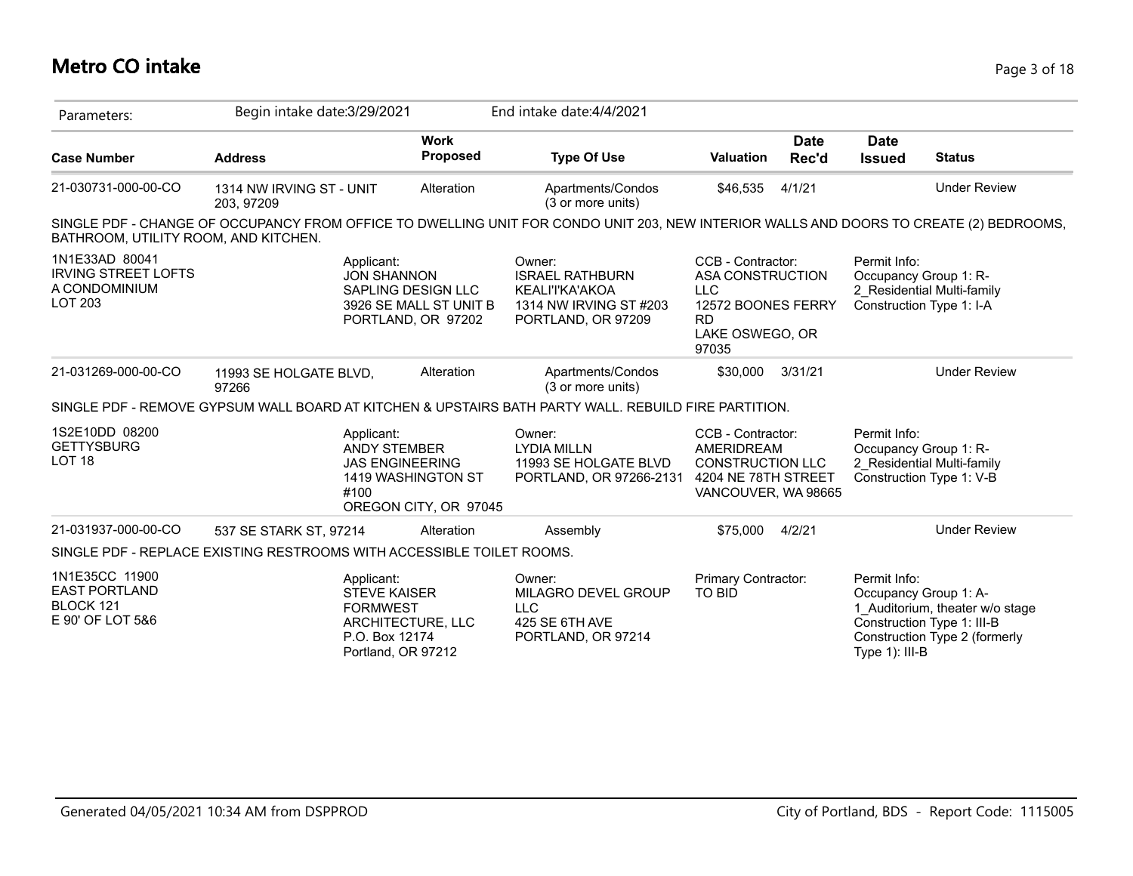# **Metro CO intake** Page 3 of 18

| Parameters:                                                                     | Begin intake date: 3/29/2021           |                                                                                                                   |                         | End intake date: 4/4/2021                                                                                                              |                                                                                                                    |                      |                                                                   |                                                                                                |
|---------------------------------------------------------------------------------|----------------------------------------|-------------------------------------------------------------------------------------------------------------------|-------------------------|----------------------------------------------------------------------------------------------------------------------------------------|--------------------------------------------------------------------------------------------------------------------|----------------------|-------------------------------------------------------------------|------------------------------------------------------------------------------------------------|
| <b>Case Number</b>                                                              | <b>Address</b>                         |                                                                                                                   | <b>Work</b><br>Proposed | <b>Type Of Use</b>                                                                                                                     | <b>Valuation</b>                                                                                                   | <b>Date</b><br>Rec'd | <b>Date</b><br><b>Issued</b>                                      | <b>Status</b>                                                                                  |
| 21-030731-000-00-CO                                                             | 1314 NW IRVING ST - UNIT<br>203, 97209 |                                                                                                                   | Alteration              | Apartments/Condos<br>(3 or more units)                                                                                                 | \$46,535                                                                                                           | 4/1/21               |                                                                   | <b>Under Review</b>                                                                            |
| BATHROOM, UTILITY ROOM, AND KITCHEN.                                            |                                        |                                                                                                                   |                         | SINGLE PDF - CHANGE OF OCCUPANCY FROM OFFICE TO DWELLING UNIT FOR CONDO UNIT 203, NEW INTERIOR WALLS AND DOORS TO CREATE (2) BEDROOMS, |                                                                                                                    |                      |                                                                   |                                                                                                |
| 1N1E33AD 80041<br><b>IRVING STREET LOFTS</b><br>A CONDOMINIUM<br><b>LOT 203</b> |                                        | Applicant:<br><b>JON SHANNON</b><br>SAPLING DESIGN LLC<br>PORTLAND, OR 97202                                      | 3926 SE MALL ST UNIT B  | Owner:<br><b>ISRAEL RATHBURN</b><br>KEALI'I'KA'AKOA<br>1314 NW IRVING ST #203<br>PORTLAND, OR 97209                                    | CCB - Contractor:<br>ASA CONSTRUCTION<br><b>LLC</b><br>12572 BOONES FERRY<br><b>RD</b><br>LAKE OSWEGO, OR<br>97035 |                      | Permit Info:<br>Occupancy Group 1: R-<br>Construction Type 1: I-A | 2_Residential Multi-family                                                                     |
| 21-031269-000-00-CO                                                             | 11993 SE HOLGATE BLVD,<br>97266        |                                                                                                                   | Alteration              | Apartments/Condos<br>(3 or more units)                                                                                                 | \$30,000                                                                                                           | 3/31/21              |                                                                   | <b>Under Review</b>                                                                            |
|                                                                                 |                                        |                                                                                                                   |                         | SINGLE PDF - REMOVE GYPSUM WALL BOARD AT KITCHEN & UPSTAIRS BATH PARTY WALL. REBUILD FIRE PARTITION.                                   |                                                                                                                    |                      |                                                                   |                                                                                                |
| 1S2E10DD 08200<br><b>GETTYSBURG</b><br>LOT <sub>18</sub>                        |                                        | Applicant:<br><b>ANDY STEMBER</b><br><b>JAS ENGINEERING</b><br>1419 WASHINGTON ST<br>#100                         | OREGON CITY, OR 97045   | Owner:<br><b>LYDIA MILLN</b><br>11993 SE HOLGATE BLVD<br>PORTLAND, OR 97266-2131                                                       | CCB - Contractor:<br>AMERIDREAM<br><b>CONSTRUCTION LLC</b><br>4204 NE 78TH STREET<br>VANCOUVER, WA 98665           |                      | Permit Info:<br>Occupancy Group 1: R-                             | 2 Residential Multi-family<br>Construction Type 1: V-B                                         |
| 21-031937-000-00-CO                                                             | 537 SE STARK ST, 97214                 |                                                                                                                   | Alteration              | Assembly                                                                                                                               | \$75,000                                                                                                           | 4/2/21               |                                                                   | <b>Under Review</b>                                                                            |
| SINGLE PDF - REPLACE EXISTING RESTROOMS WITH ACCESSIBLE TOILET ROOMS.           |                                        |                                                                                                                   |                         |                                                                                                                                        |                                                                                                                    |                      |                                                                   |                                                                                                |
| 1N1E35CC 11900<br><b>EAST PORTLAND</b><br>BLOCK 121<br>E 90' OF LOT 5&6         |                                        | Applicant:<br><b>STEVE KAISER</b><br><b>FORMWEST</b><br>ARCHITECTURE, LLC<br>P.O. Box 12174<br>Portland, OR 97212 |                         | Owner:<br>MILAGRO DEVEL GROUP<br><b>LLC</b><br>425 SE 6TH AVE<br>PORTLAND, OR 97214                                                    | Primary Contractor:<br>TO BID                                                                                      |                      | Permit Info:<br>Occupancy Group 1: A-<br>Type $1$ ): III-B        | 1 Auditorium, theater w/o stage<br>Construction Type 1: III-B<br>Construction Type 2 (formerly |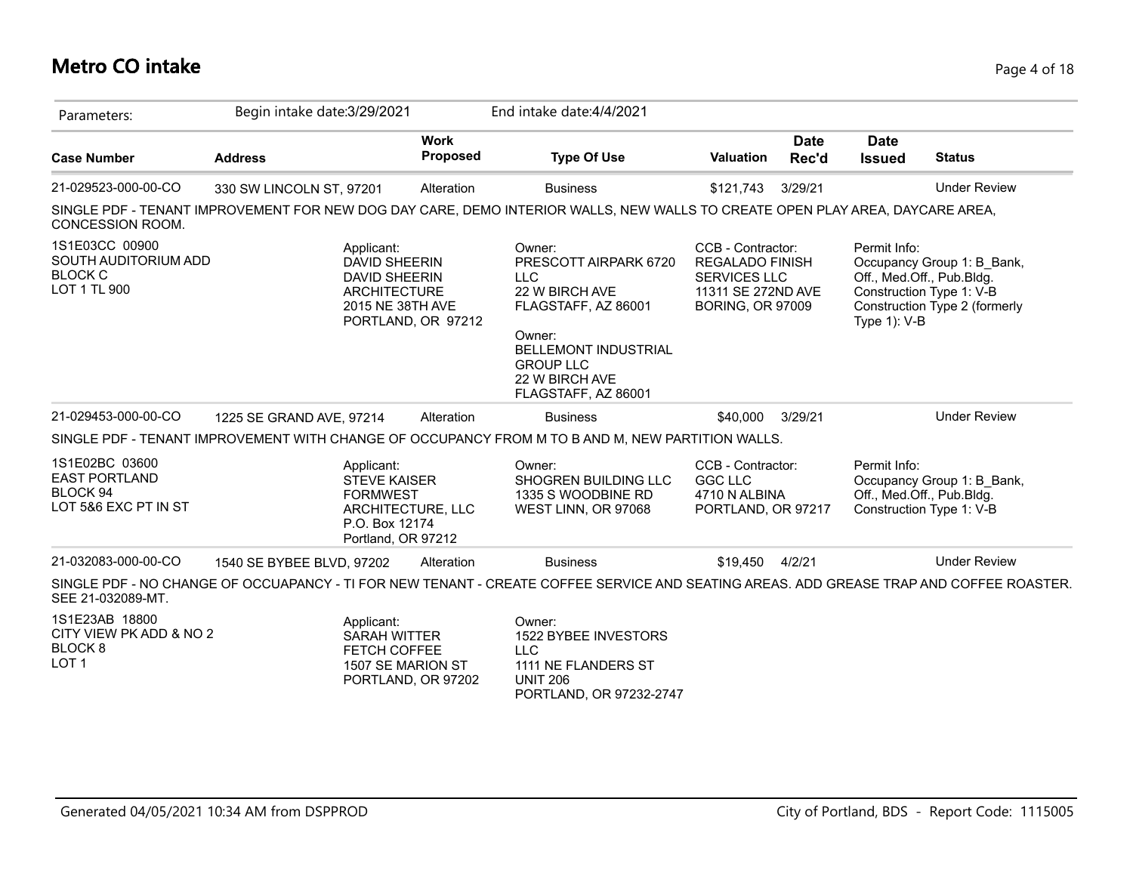### **Metro CO intake** Page 4 of 18

| Parameters:                                                                         | Begin intake date: 3/29/2021                                                                                                            |                                | End intake date: 4/4/2021                                                                                                                                                                    |                                                                                                                     |                      |                                 |                                                                                                                      |
|-------------------------------------------------------------------------------------|-----------------------------------------------------------------------------------------------------------------------------------------|--------------------------------|----------------------------------------------------------------------------------------------------------------------------------------------------------------------------------------------|---------------------------------------------------------------------------------------------------------------------|----------------------|---------------------------------|----------------------------------------------------------------------------------------------------------------------|
| <b>Case Number</b>                                                                  | <b>Address</b>                                                                                                                          | <b>Work</b><br><b>Proposed</b> | <b>Type Of Use</b>                                                                                                                                                                           | <b>Valuation</b>                                                                                                    | <b>Date</b><br>Rec'd | <b>Date</b><br><b>Issued</b>    | <b>Status</b>                                                                                                        |
| 21-029523-000-00-CO                                                                 | 330 SW LINCOLN ST, 97201                                                                                                                | Alteration                     | <b>Business</b>                                                                                                                                                                              | \$121,743                                                                                                           | 3/29/21              |                                 | <b>Under Review</b>                                                                                                  |
| CONCESSION ROOM.                                                                    | SINGLE PDF - TENANT IMPROVEMENT FOR NEW DOG DAY CARE, DEMO INTERIOR WALLS, NEW WALLS TO CREATE OPEN PLAY AREA, DAYCARE AREA,            |                                |                                                                                                                                                                                              |                                                                                                                     |                      |                                 |                                                                                                                      |
| 1S1E03CC 00900<br>SOUTH AUDITORIUM ADD<br><b>BLOCK C</b><br>LOT 1 TL 900            | Applicant:<br><b>DAVID SHEERIN</b><br><b>DAVID SHEERIN</b><br><b>ARCHITECTURE</b><br>2015 NE 38TH AVE<br>PORTLAND, OR 97212             |                                | Owner:<br>PRESCOTT AIRPARK 6720<br><b>LLC</b><br>22 W BIRCH AVE<br>FLAGSTAFF, AZ 86001<br>Owner:<br><b>BELLEMONT INDUSTRIAL</b><br><b>GROUP LLC</b><br>22 W BIRCH AVE<br>FLAGSTAFF, AZ 86001 | CCB - Contractor:<br><b>REGALADO FINISH</b><br><b>SERVICES LLC</b><br>11311 SE 272ND AVE<br><b>BORING, OR 97009</b> |                      | Permit Info:<br>Type $1$ ): V-B | Occupancy Group 1: B Bank,<br>Off., Med.Off., Pub.Bldg.<br>Construction Type 1: V-B<br>Construction Type 2 (formerly |
| 21-029453-000-00-CO                                                                 | 1225 SE GRAND AVE, 97214                                                                                                                | Alteration                     | <b>Business</b>                                                                                                                                                                              | \$40,000                                                                                                            | 3/29/21              |                                 | <b>Under Review</b>                                                                                                  |
|                                                                                     | SINGLE PDF - TENANT IMPROVEMENT WITH CHANGE OF OCCUPANCY FROM M TO B AND M, NEW PARTITION WALLS.                                        |                                |                                                                                                                                                                                              |                                                                                                                     |                      |                                 |                                                                                                                      |
| 1S1E02BC 03600<br><b>EAST PORTLAND</b><br>BLOCK 94<br>LOT 5&6 EXC PT IN ST          | Applicant:<br><b>STEVE KAISER</b><br><b>FORMWEST</b><br>ARCHITECTURE, LLC<br>P.O. Box 12174<br>Portland, OR 97212                       |                                | Owner:<br>SHOGREN BUILDING LLC<br>1335 S WOODBINE RD<br>WEST LINN, OR 97068                                                                                                                  | CCB - Contractor:<br><b>GGC LLC</b><br>4710 N ALBINA<br>PORTLAND, OR 97217                                          |                      | Permit Info:                    | Occupancy Group 1: B Bank,<br>Off., Med.Off., Pub.Bldg.<br>Construction Type 1: V-B                                  |
| 21-032083-000-00-CO                                                                 | 1540 SE BYBEE BLVD, 97202                                                                                                               | Alteration                     | <b>Business</b>                                                                                                                                                                              | \$19,450                                                                                                            | 4/2/21               |                                 | <b>Under Review</b>                                                                                                  |
| SEE 21-032089-MT.                                                                   | SINGLE PDF - NO CHANGE OF OCCUAPANCY - TI FOR NEW TENANT - CREATE COFFEE SERVICE AND SEATING AREAS. ADD GREASE TRAP AND COFFEE ROASTER. |                                |                                                                                                                                                                                              |                                                                                                                     |                      |                                 |                                                                                                                      |
| 1S1E23AB 18800<br>CITY VIEW PK ADD & NO 2<br>BLOCK <sub>8</sub><br>LOT <sub>1</sub> | Applicant:<br><b>SARAH WITTER</b><br>FETCH COFFEE<br>1507 SE MARION ST<br>PORTLAND, OR 97202                                            |                                | Owner:<br>1522 BYBEE INVESTORS<br><b>LLC</b><br>1111 NE FLANDERS ST<br><b>UNIT 206</b>                                                                                                       |                                                                                                                     |                      |                                 |                                                                                                                      |

PORTLAND, OR 97232-2747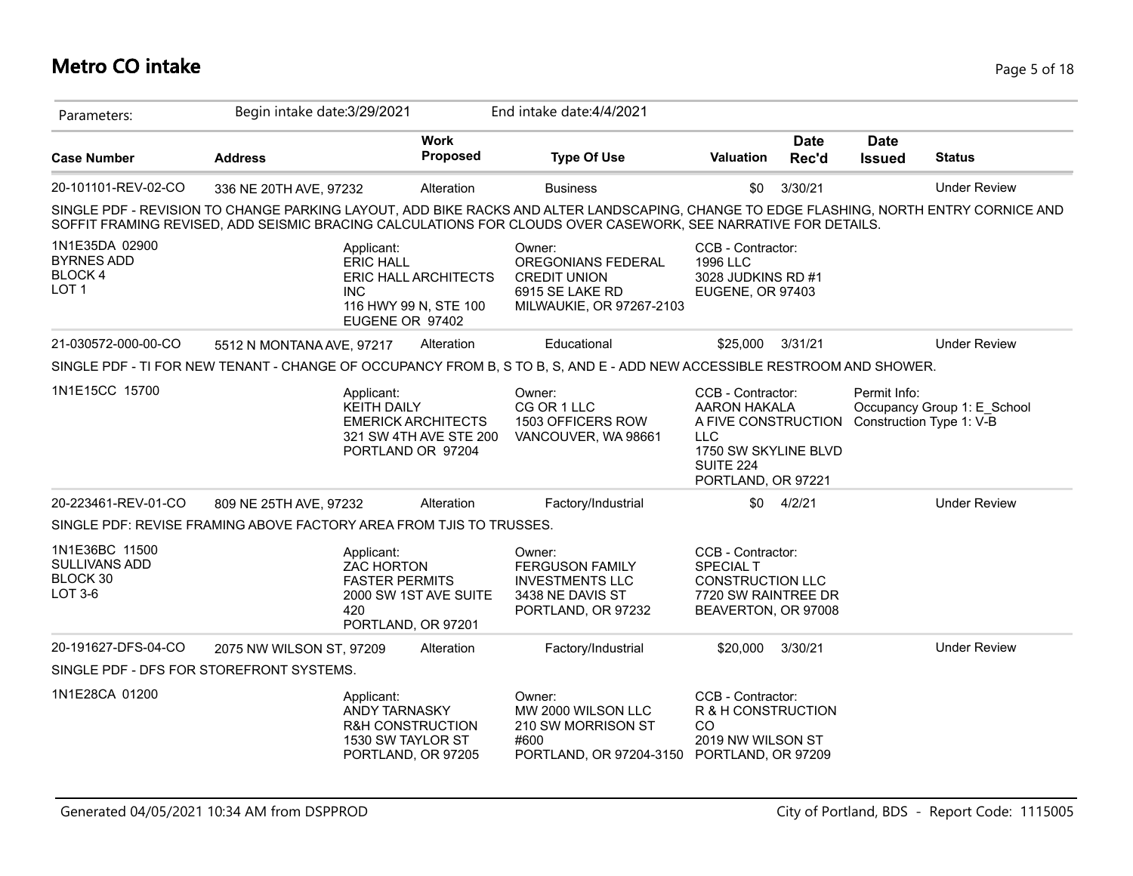# **Metro CO intake** Page 5 of 18

| Parameters:                                                         | Begin intake date: 3/29/2021 |                                                                 |                                                                          | End intake date: 4/4/2021                                                                                                                                                                                                                               |                                                                                                                                          |                      |                              |                                                         |
|---------------------------------------------------------------------|------------------------------|-----------------------------------------------------------------|--------------------------------------------------------------------------|---------------------------------------------------------------------------------------------------------------------------------------------------------------------------------------------------------------------------------------------------------|------------------------------------------------------------------------------------------------------------------------------------------|----------------------|------------------------------|---------------------------------------------------------|
| <b>Case Number</b>                                                  | <b>Address</b>               |                                                                 | <b>Work</b><br><b>Proposed</b>                                           | <b>Type Of Use</b>                                                                                                                                                                                                                                      | <b>Valuation</b>                                                                                                                         | <b>Date</b><br>Rec'd | <b>Date</b><br><b>Issued</b> | <b>Status</b>                                           |
| 20-101101-REV-02-CO                                                 | 336 NE 20TH AVE, 97232       |                                                                 | Alteration                                                               | <b>Business</b>                                                                                                                                                                                                                                         | \$0                                                                                                                                      | 3/30/21              |                              | <b>Under Review</b>                                     |
|                                                                     |                              |                                                                 |                                                                          | SINGLE PDF - REVISION TO CHANGE PARKING LAYOUT, ADD BIKE RACKS AND ALTER LANDSCAPING, CHANGE TO EDGE FLASHING, NORTH ENTRY CORNICE AND<br>SOFFIT FRAMING REVISED, ADD SEISMIC BRACING CALCULATIONS FOR CLOUDS OVER CASEWORK, SEE NARRATIVE FOR DETAILS. |                                                                                                                                          |                      |                              |                                                         |
| 1N1E35DA 02900<br><b>BYRNES ADD</b><br>BLOCK 4<br>LOT <sub>1</sub>  |                              | Applicant:<br><b>ERIC HALL</b><br><b>INC</b><br>EUGENE OR 97402 | ERIC HALL ARCHITECTS<br>116 HWY 99 N, STE 100                            | Owner:<br>OREGONIANS FEDERAL<br><b>CREDIT UNION</b><br>6915 SE LAKE RD<br>MILWAUKIE, OR 97267-2103                                                                                                                                                      | CCB - Contractor:<br>1996 LLC<br>3028 JUDKINS RD #1<br>EUGENE, OR 97403                                                                  |                      |                              |                                                         |
| 21-030572-000-00-CO                                                 | 5512 N MONTANA AVE, 97217    |                                                                 | Alteration                                                               | Educational                                                                                                                                                                                                                                             | \$25,000 3/31/21                                                                                                                         |                      |                              | <b>Under Review</b>                                     |
|                                                                     |                              |                                                                 |                                                                          | SINGLE PDF - TI FOR NEW TENANT - CHANGE OF OCCUPANCY FROM B, S TO B, S, AND E - ADD NEW ACCESSIBLE RESTROOM AND SHOWER.                                                                                                                                 |                                                                                                                                          |                      |                              |                                                         |
| 1N1E15CC 15700                                                      |                              | Applicant:<br><b>KEITH DAILY</b>                                | <b>EMERICK ARCHITECTS</b><br>321 SW 4TH AVE STE 200<br>PORTLAND OR 97204 | Owner:<br>CG OR 1 LLC<br>1503 OFFICERS ROW<br>VANCOUVER, WA 98661                                                                                                                                                                                       | CCB - Contractor:<br>AARON HAKALA<br>A FIVE CONSTRUCTION<br><b>LLC</b><br>1750 SW SKYLINE BLVD<br><b>SUITE 224</b><br>PORTLAND, OR 97221 |                      | Permit Info:                 | Occupancy Group 1: E School<br>Construction Type 1: V-B |
| 20-223461-REV-01-CO                                                 | 809 NE 25TH AVE, 97232       |                                                                 | Alteration                                                               | Factory/Industrial                                                                                                                                                                                                                                      |                                                                                                                                          | $$0$ 4/2/21          |                              | <b>Under Review</b>                                     |
| SINGLE PDF: REVISE FRAMING ABOVE FACTORY AREA FROM TJIS TO TRUSSES. |                              |                                                                 |                                                                          |                                                                                                                                                                                                                                                         |                                                                                                                                          |                      |                              |                                                         |
| 1N1E36BC 11500<br>SULLIVANS ADD<br>BLOCK 30<br>LOT 3-6              |                              | Applicant:<br><b>ZAC HORTON</b><br><b>FASTER PERMITS</b><br>420 | 2000 SW 1ST AVE SUITE<br>PORTLAND, OR 97201                              | Owner:<br><b>FERGUSON FAMILY</b><br><b>INVESTMENTS LLC</b><br>3438 NE DAVIS ST<br>PORTLAND, OR 97232                                                                                                                                                    | CCB - Contractor:<br><b>SPECIAL T</b><br><b>CONSTRUCTION LLC</b><br>7720 SW RAINTREE DR<br>BEAVERTON, OR 97008                           |                      |                              |                                                         |
| 20-191627-DFS-04-CO                                                 | 2075 NW WILSON ST, 97209     |                                                                 | Alteration                                                               | Factory/Industrial                                                                                                                                                                                                                                      | \$20,000                                                                                                                                 | 3/30/21              |                              | <b>Under Review</b>                                     |
| SINGLE PDF - DFS FOR STOREFRONT SYSTEMS.                            |                              |                                                                 |                                                                          |                                                                                                                                                                                                                                                         |                                                                                                                                          |                      |                              |                                                         |
| 1N1E28CA 01200                                                      |                              | Applicant:<br>ANDY TARNASKY<br>1530 SW TAYLOR ST                | <b>R&amp;H CONSTRUCTION</b><br>PORTLAND, OR 97205                        | Owner:<br>MW 2000 WILSON LLC<br>210 SW MORRISON ST<br>#600<br>PORTLAND, OR 97204-3150                                                                                                                                                                   | CCB - Contractor:<br>R & H CONSTRUCTION<br>CO<br>2019 NW WILSON ST<br>PORTLAND, OR 97209                                                 |                      |                              |                                                         |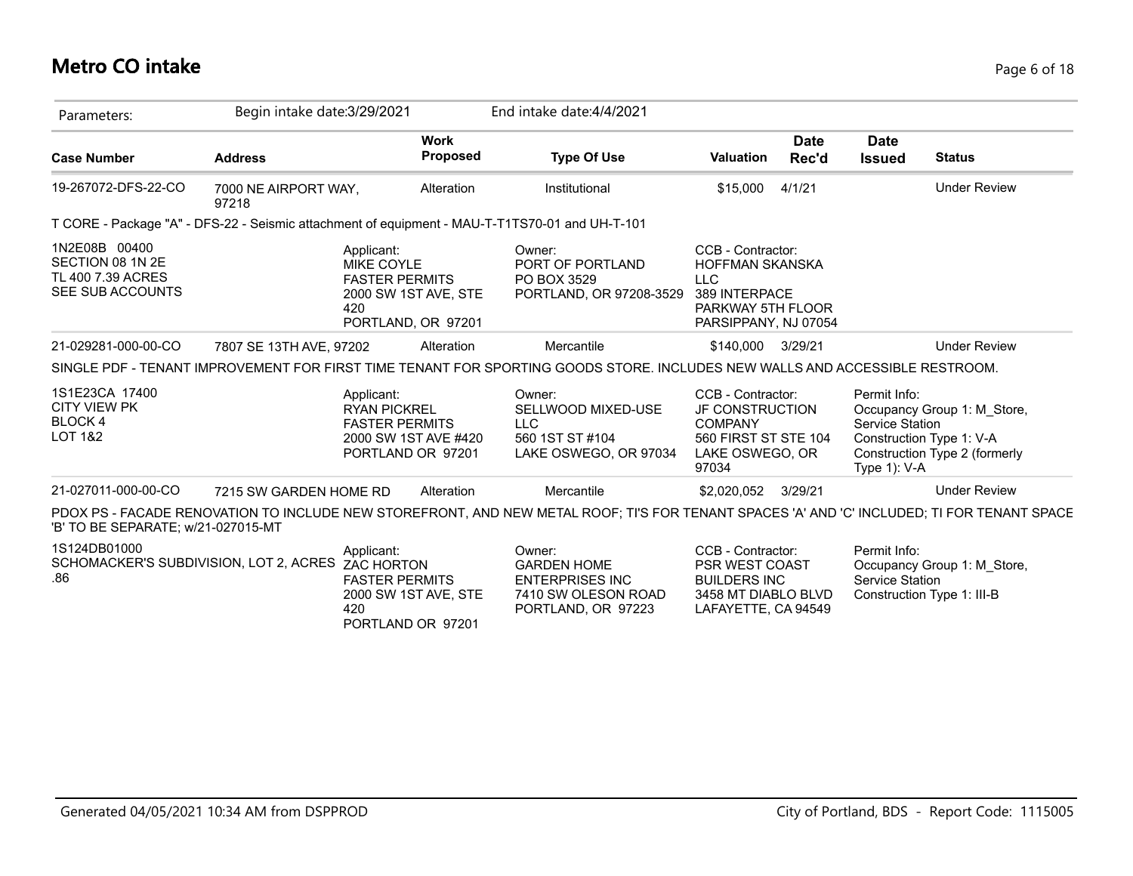# **Metro CO intake** Page 6 of 18

| Parameters:                                                                  | Begin intake date: 3/29/2021  |                                                                                                               | End intake date: 4/4/2021                                                                                                                   |                                                                                                                         |                      |                                                    |                                                                                          |
|------------------------------------------------------------------------------|-------------------------------|---------------------------------------------------------------------------------------------------------------|---------------------------------------------------------------------------------------------------------------------------------------------|-------------------------------------------------------------------------------------------------------------------------|----------------------|----------------------------------------------------|------------------------------------------------------------------------------------------|
| <b>Case Number</b>                                                           | <b>Address</b>                | <b>Work</b><br><b>Proposed</b>                                                                                | <b>Type Of Use</b>                                                                                                                          | <b>Valuation</b>                                                                                                        | <b>Date</b><br>Rec'd | <b>Date</b><br><b>Issued</b>                       | <b>Status</b>                                                                            |
| 19-267072-DFS-22-CO                                                          | 7000 NE AIRPORT WAY,<br>97218 | Alteration                                                                                                    | Institutional                                                                                                                               | \$15,000                                                                                                                | 4/1/21               |                                                    | <b>Under Review</b>                                                                      |
|                                                                              |                               |                                                                                                               | T CORE - Package "A" - DFS-22 - Seismic attachment of equipment - MAU-T-T1TS70-01 and UH-T-101                                              |                                                                                                                         |                      |                                                    |                                                                                          |
| 1N2E08B 00400<br>SECTION 08 1N 2E<br>TL 400 7.39 ACRES<br>SEE SUB ACCOUNTS   |                               | Applicant:<br><b>MIKE COYLE</b><br><b>FASTER PERMITS</b><br>2000 SW 1ST AVE, STE<br>420<br>PORTLAND, OR 97201 | Owner:<br>PORT OF PORTLAND<br>PO BOX 3529<br>PORTLAND, OR 97208-3529                                                                        | CCB - Contractor:<br><b>HOFFMAN SKANSKA</b><br><b>LLC</b><br>389 INTERPACE<br>PARKWAY 5TH FLOOR<br>PARSIPPANY, NJ 07054 |                      |                                                    |                                                                                          |
| 21-029281-000-00-CO                                                          | 7807 SE 13TH AVE, 97202       | Alteration                                                                                                    | Mercantile                                                                                                                                  | \$140,000 3/29/21                                                                                                       |                      |                                                    | <b>Under Review</b>                                                                      |
|                                                                              |                               |                                                                                                               | SINGLE PDF - TENANT IMPROVEMENT FOR FIRST TIME TENANT FOR SPORTING GOODS STORE. INCLUDES NEW WALLS AND ACCESSIBLE RESTROOM.                 |                                                                                                                         |                      |                                                    |                                                                                          |
| 1S1E23CA 17400<br><b>CITY VIEW PK</b><br><b>BLOCK4</b><br><b>LOT 1&amp;2</b> |                               | Applicant:<br><b>RYAN PICKREL</b><br><b>FASTER PERMITS</b><br>2000 SW 1ST AVE #420<br>PORTLAND OR 97201       | Owner:<br>SELLWOOD MIXED-USE<br><b>LLC</b><br>560 1ST ST #104<br>LAKE OSWEGO, OR 97034                                                      | CCB - Contractor:<br>JF CONSTRUCTION<br><b>COMPANY</b><br>560 FIRST ST STE 104<br>LAKE OSWEGO, OR<br>97034              |                      | Permit Info:<br>Service Station<br>Type $1$ ): V-A | Occupancy Group 1: M_Store,<br>Construction Type 1: V-A<br>Construction Type 2 (formerly |
| 21-027011-000-00-CO                                                          | 7215 SW GARDEN HOME RD        | Alteration                                                                                                    | Mercantile                                                                                                                                  | \$2,020,052 3/29/21                                                                                                     |                      |                                                    | <b>Under Review</b>                                                                      |
| 'B' TO BE SEPARATE; w/21-027015-MT                                           |                               |                                                                                                               | PDOX PS - FACADE RENOVATION TO INCLUDE NEW STOREFRONT, AND NEW METAL ROOF; TI'S FOR TENANT SPACES 'A' AND 'C' INCLUDED; TI FOR TENANT SPACE |                                                                                                                         |                      |                                                    |                                                                                          |
| 1S124DB01000<br>SCHOMACKER'S SUBDIVISION, LOT 2, ACRES<br>.86                |                               | Applicant:<br><b>ZAC HORTON</b><br><b>FASTER PERMITS</b><br>2000 SW 1ST AVE, STE<br>420<br>PORTLAND OR 97201  | Owner:<br><b>GARDEN HOME</b><br><b>ENTERPRISES INC</b><br>7410 SW OLESON ROAD<br>PORTLAND, OR 97223                                         | CCB - Contractor:<br>PSR WEST COAST<br><b>BUILDERS INC</b><br>3458 MT DIABLO BLVD<br>LAFAYETTE, CA 94549                |                      | Permit Info:<br>Service Station                    | Occupancy Group 1: M Store,<br>Construction Type 1: III-B                                |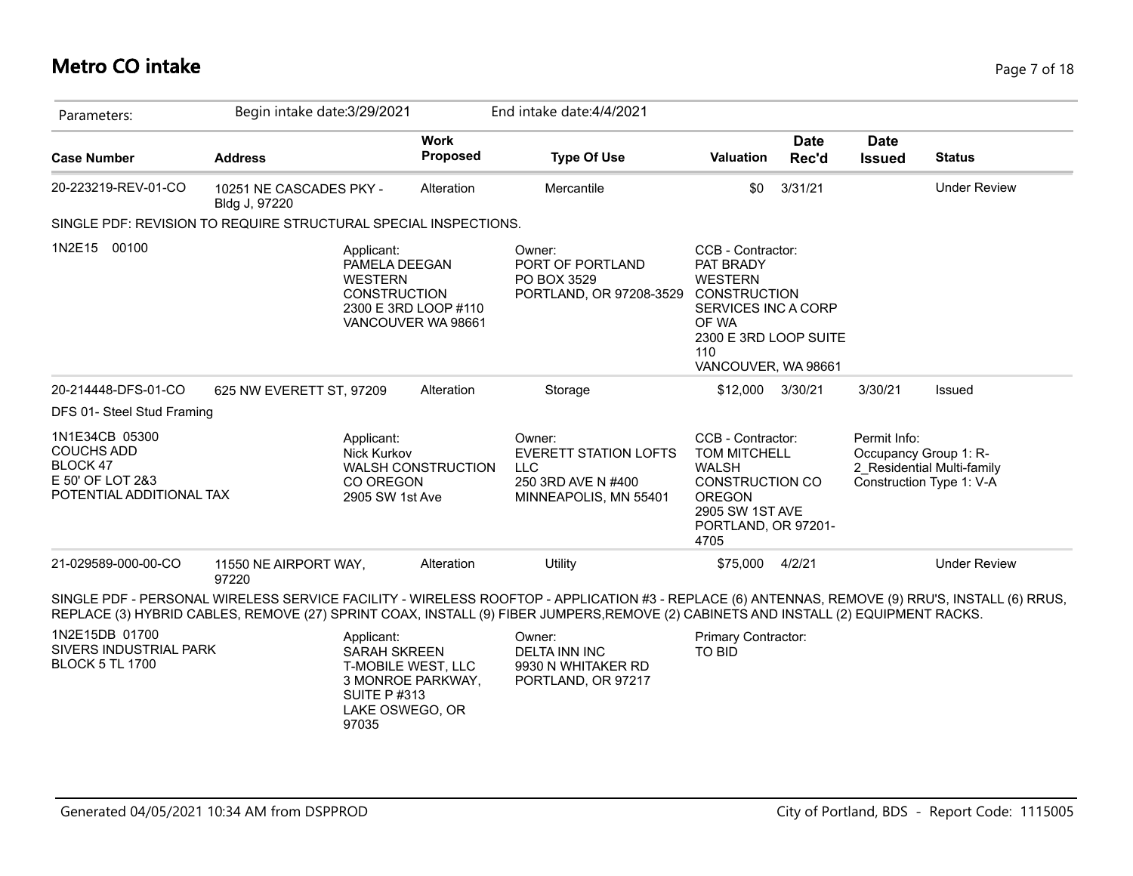# **Metro CO intake** Page 7 of 18

| Parameters:                                                                                     | Begin intake date: 3/29/2021             |                                                                                                           |                                            | End intake date: 4/4/2021                                                                                                                                                                                                                                                             |                                                                                                                                                                |                      |                              |                                                                                 |
|-------------------------------------------------------------------------------------------------|------------------------------------------|-----------------------------------------------------------------------------------------------------------|--------------------------------------------|---------------------------------------------------------------------------------------------------------------------------------------------------------------------------------------------------------------------------------------------------------------------------------------|----------------------------------------------------------------------------------------------------------------------------------------------------------------|----------------------|------------------------------|---------------------------------------------------------------------------------|
| <b>Case Number</b>                                                                              | <b>Address</b>                           |                                                                                                           | <b>Work</b><br><b>Proposed</b>             | <b>Type Of Use</b>                                                                                                                                                                                                                                                                    | Valuation                                                                                                                                                      | <b>Date</b><br>Rec'd | <b>Date</b><br><b>Issued</b> | <b>Status</b>                                                                   |
| 20-223219-REV-01-CO                                                                             | 10251 NE CASCADES PKY -<br>Bldg J, 97220 |                                                                                                           | Alteration                                 | Mercantile                                                                                                                                                                                                                                                                            | \$0                                                                                                                                                            | 3/31/21              |                              | <b>Under Review</b>                                                             |
| SINGLE PDF: REVISION TO REQUIRE STRUCTURAL SPECIAL INSPECTIONS.                                 |                                          |                                                                                                           |                                            |                                                                                                                                                                                                                                                                                       |                                                                                                                                                                |                      |                              |                                                                                 |
| 1N2E15 00100                                                                                    |                                          | Applicant:<br>PAMELA DEEGAN<br><b>WESTERN</b><br><b>CONSTRUCTION</b>                                      | 2300 E 3RD LOOP #110<br>VANCOUVER WA 98661 | Owner:<br>PORT OF PORTLAND<br>PO BOX 3529<br>PORTLAND, OR 97208-3529                                                                                                                                                                                                                  | CCB - Contractor:<br>PAT BRADY<br><b>WESTERN</b><br><b>CONSTRUCTION</b><br>SERVICES INC A CORP<br>OF WA<br>2300 E 3RD LOOP SUITE<br>110<br>VANCOUVER, WA 98661 |                      |                              |                                                                                 |
| 20-214448-DFS-01-CO                                                                             | 625 NW EVERETT ST, 97209                 |                                                                                                           | Alteration                                 | Storage                                                                                                                                                                                                                                                                               | \$12,000                                                                                                                                                       | 3/30/21              | 3/30/21                      | Issued                                                                          |
| DFS 01- Steel Stud Framing                                                                      |                                          |                                                                                                           |                                            |                                                                                                                                                                                                                                                                                       |                                                                                                                                                                |                      |                              |                                                                                 |
| 1N1E34CB 05300<br><b>COUCHS ADD</b><br>BLOCK 47<br>E 50' OF LOT 2&3<br>POTENTIAL ADDITIONAL TAX |                                          | Applicant:<br>Nick Kurkov<br>CO OREGON<br>2905 SW 1st Ave                                                 | <b>WALSH CONSTRUCTION</b>                  | Owner:<br><b>EVERETT STATION LOFTS</b><br><b>LLC</b><br>250 3RD AVE N #400<br>MINNEAPOLIS, MN 55401                                                                                                                                                                                   | CCB - Contractor:<br><b>TOM MITCHELL</b><br><b>WALSH</b><br><b>CONSTRUCTION CO</b><br><b>OREGON</b><br>2905 SW 1ST AVE<br>PORTLAND, OR 97201-<br>4705          |                      | Permit Info:                 | Occupancy Group 1: R-<br>2 Residential Multi-family<br>Construction Type 1: V-A |
| 21-029589-000-00-CO                                                                             | 11550 NE AIRPORT WAY,<br>97220           |                                                                                                           | Alteration                                 | Utility                                                                                                                                                                                                                                                                               | \$75,000                                                                                                                                                       | 4/2/21               |                              | <b>Under Review</b>                                                             |
|                                                                                                 |                                          |                                                                                                           |                                            | SINGLE PDF - PERSONAL WIRELESS SERVICE FACILITY - WIRELESS ROOFTOP - APPLICATION #3 - REPLACE (6) ANTENNAS, REMOVE (9) RRU'S, INSTALL (6) RRUS,<br>REPLACE (3) HYBRID CABLES, REMOVE (27) SPRINT COAX, INSTALL (9) FIBER JUMPERS,REMOVE (2) CABINETS AND INSTALL (2) EQUIPMENT RACKS. |                                                                                                                                                                |                      |                              |                                                                                 |
| 1N2E15DB 01700<br>SIVERS INDUSTRIAL PARK<br><b>BLOCK 5 TL 1700</b>                              |                                          | Applicant:<br><b>SARAH SKREEN</b><br>T-MOBILE WEST, LLC<br><b>SUITE P#313</b><br>LAKE OSWEGO, OR<br>97035 | 3 MONROE PARKWAY,                          | Owner:<br><b>DELTA INN INC</b><br>9930 N WHITAKER RD<br>PORTLAND, OR 97217                                                                                                                                                                                                            | Primary Contractor:<br><b>TO BID</b>                                                                                                                           |                      |                              |                                                                                 |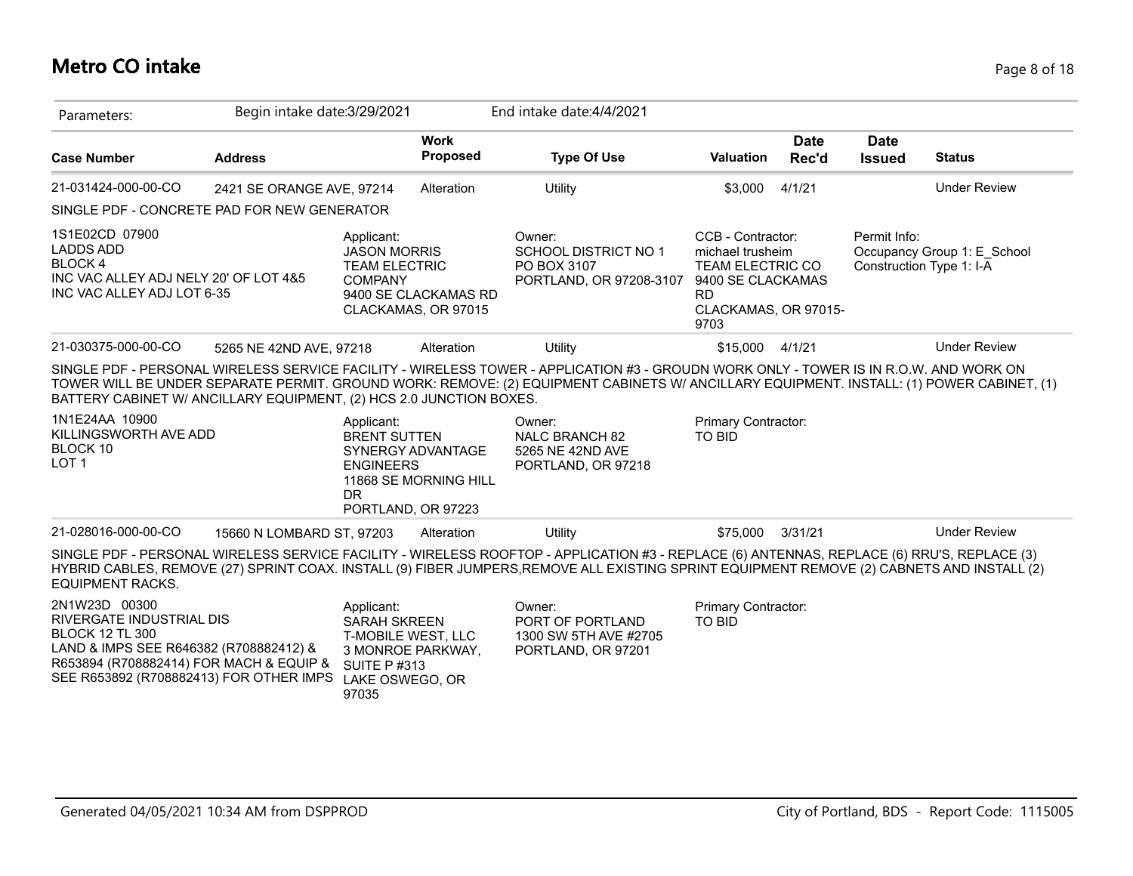### **Metro CO intake** Page 8 of 18

| Parameters:                                                                                                                                                                                         | Begin intake date: 3/29/2021 |                                                                                                                                |                                             | End intake date: 4/4/2021                                                                                                                                                                                                                                                               |                                                                                                                                    |                      |                              |                                                         |
|-----------------------------------------------------------------------------------------------------------------------------------------------------------------------------------------------------|------------------------------|--------------------------------------------------------------------------------------------------------------------------------|---------------------------------------------|-----------------------------------------------------------------------------------------------------------------------------------------------------------------------------------------------------------------------------------------------------------------------------------------|------------------------------------------------------------------------------------------------------------------------------------|----------------------|------------------------------|---------------------------------------------------------|
| <b>Case Number</b>                                                                                                                                                                                  | <b>Address</b>               |                                                                                                                                | <b>Work</b><br>Proposed                     | <b>Type Of Use</b>                                                                                                                                                                                                                                                                      | <b>Valuation</b>                                                                                                                   | <b>Date</b><br>Rec'd | <b>Date</b><br><b>Issued</b> | <b>Status</b>                                           |
| 21-031424-000-00-CO                                                                                                                                                                                 | 2421 SE ORANGE AVE, 97214    |                                                                                                                                | Alteration                                  | Utility                                                                                                                                                                                                                                                                                 | \$3,000                                                                                                                            | 4/1/21               |                              | <b>Under Review</b>                                     |
| SINGLE PDF - CONCRETE PAD FOR NEW GENERATOR                                                                                                                                                         |                              |                                                                                                                                |                                             |                                                                                                                                                                                                                                                                                         |                                                                                                                                    |                      |                              |                                                         |
| 1S1E02CD 07900<br><b>LADDS ADD</b><br>BLOCK 4<br>INC VAC ALLEY ADJ NELY 20' OF LOT 4&5<br>INC VAC ALLEY ADJ LOT 6-35                                                                                |                              | Applicant:<br><b>JASON MORRIS</b><br><b>TEAM ELECTRIC</b><br><b>COMPANY</b>                                                    | 9400 SE CLACKAMAS RD<br>CLACKAMAS, OR 97015 | Owner:<br><b>SCHOOL DISTRICT NO 1</b><br>PO BOX 3107<br>PORTLAND, OR 97208-3107                                                                                                                                                                                                         | CCB - Contractor:<br>michael trusheim<br><b>TEAM ELECTRIC CO</b><br>9400 SE CLACKAMAS<br><b>RD</b><br>CLACKAMAS, OR 97015-<br>9703 |                      | Permit Info:                 | Occupancy Group 1: E School<br>Construction Type 1: I-A |
| 21-030375-000-00-CO                                                                                                                                                                                 | 5265 NE 42ND AVE, 97218      |                                                                                                                                | Alteration                                  | Utility                                                                                                                                                                                                                                                                                 | \$15,000                                                                                                                           | 4/1/21               |                              | <b>Under Review</b>                                     |
| BATTERY CABINET W/ ANCILLARY EQUIPMENT, (2) HCS 2.0 JUNCTION BOXES.                                                                                                                                 |                              |                                                                                                                                |                                             | SINGLE PDF - PERSONAL WIRELESS SERVICE FACILITY - WIRELESS TOWER - APPLICATION #3 - GROUDN WORK ONLY - TOWER IS IN R.O.W. AND WORK ON<br>TOWER WILL BE UNDER SEPARATE PERMIT. GROUND WORK: REMOVE: (2) EQUIPMENT CABINETS W/ ANCILLARY EQUIPMENT. INSTALL: (1) POWER CABINET, (1)       |                                                                                                                                    |                      |                              |                                                         |
| 1N1E24AA 10900<br>KILLINGSWORTH AVE ADD<br>BLOCK 10<br>LOT <sub>1</sub>                                                                                                                             |                              | Applicant:<br><b>BRENT SUTTEN</b><br><b>ENGINEERS</b><br><b>DR</b><br>PORTLAND, OR 97223                                       | SYNERGY ADVANTAGE<br>11868 SE MORNING HILL  | Owner:<br><b>NALC BRANCH 82</b><br>5265 NE 42ND AVE<br>PORTLAND, OR 97218                                                                                                                                                                                                               | Primary Contractor:<br><b>TO BID</b>                                                                                               |                      |                              |                                                         |
| 21-028016-000-00-CO                                                                                                                                                                                 | 15660 N LOMBARD ST, 97203    |                                                                                                                                | Alteration                                  | Utility                                                                                                                                                                                                                                                                                 | \$75,000                                                                                                                           | 3/31/21              |                              | <b>Under Review</b>                                     |
| <b>EQUIPMENT RACKS.</b>                                                                                                                                                                             |                              |                                                                                                                                |                                             | SINGLE PDF - PERSONAL WIRELESS SERVICE FACILITY - WIRELESS ROOFTOP - APPLICATION #3 - REPLACE (6) ANTENNAS, REPLACE (6) RRU'S, REPLACE (3)<br>HYBRID CABLES, REMOVE (27) SPRINT COAX. INSTALL (9) FIBER JUMPERS,REMOVE ALL EXISTING SPRINT EQUIPMENT REMOVE (2) CABNETS AND INSTALL (2) |                                                                                                                                    |                      |                              |                                                         |
| 2N1W23D 00300<br>RIVERGATE INDUSTRIAL DIS<br><b>BLOCK 12 TL 300</b><br>LAND & IMPS SEE R646382 (R708882412) &<br>R653894 (R708882414) FOR MACH & EQUIP &<br>SEE R653892 (R708882413) FOR OTHER IMPS |                              | Applicant:<br><b>SARAH SKREEN</b><br>T-MOBILE WEST, LLC<br>3 MONROE PARKWAY,<br><b>SUITE P#313</b><br>LAKE OSWEGO, OR<br>97035 |                                             | Owner:<br>PORT OF PORTLAND<br>1300 SW 5TH AVE #2705<br>PORTLAND, OR 97201                                                                                                                                                                                                               | Primary Contractor:<br><b>TO BID</b>                                                                                               |                      |                              |                                                         |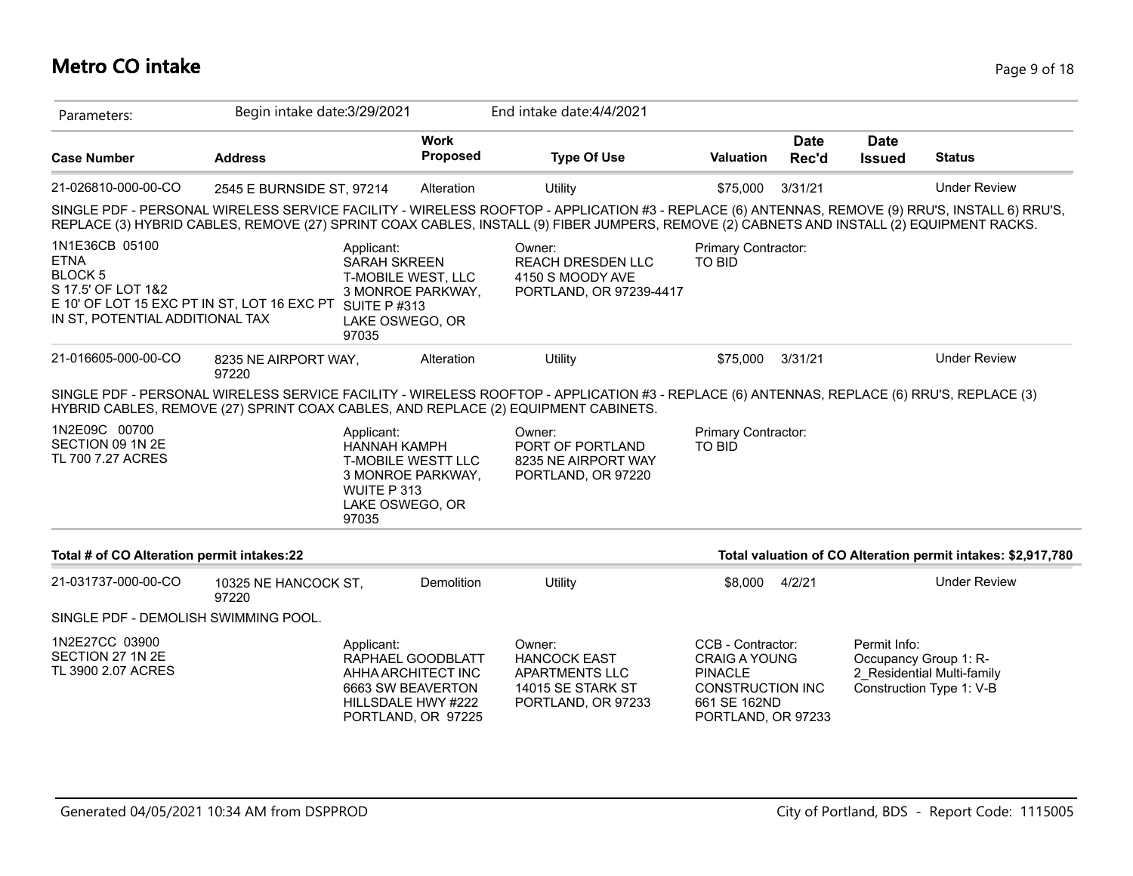# **Metro CO intake** Page 9 of 18

| Parameters:                                                                                                                                                         | Begin intake date: 3/29/2021  |                                                                                                                                |                         | End intake date: 4/4/2021                                                                                                                                                                                                                                                                    |                                                                                                                              |                      |                              |                                                                                 |
|---------------------------------------------------------------------------------------------------------------------------------------------------------------------|-------------------------------|--------------------------------------------------------------------------------------------------------------------------------|-------------------------|----------------------------------------------------------------------------------------------------------------------------------------------------------------------------------------------------------------------------------------------------------------------------------------------|------------------------------------------------------------------------------------------------------------------------------|----------------------|------------------------------|---------------------------------------------------------------------------------|
| <b>Case Number</b>                                                                                                                                                  | <b>Address</b>                |                                                                                                                                | <b>Work</b><br>Proposed | <b>Type Of Use</b>                                                                                                                                                                                                                                                                           | <b>Valuation</b>                                                                                                             | <b>Date</b><br>Rec'd | <b>Date</b><br><b>Issued</b> | <b>Status</b>                                                                   |
| 21-026810-000-00-CO                                                                                                                                                 | 2545 E BURNSIDE ST, 97214     |                                                                                                                                | Alteration              | Utility                                                                                                                                                                                                                                                                                      | \$75,000                                                                                                                     | 3/31/21              |                              | <b>Under Review</b>                                                             |
|                                                                                                                                                                     |                               |                                                                                                                                |                         | SINGLE PDF - PERSONAL WIRELESS SERVICE FACILITY - WIRELESS ROOFTOP - APPLICATION #3 - REPLACE (6) ANTENNAS, REMOVE (9) RRU'S, INSTALL 6) RRU'S,<br>REPLACE (3) HYBRID CABLES, REMOVE (27) SPRINT COAX CABLES, INSTALL (9) FIBER JUMPERS, REMOVE (2) CABNETS AND INSTALL (2) EQUIPMENT RACKS. |                                                                                                                              |                      |                              |                                                                                 |
| 1N1E36CB 05100<br><b>ETNA</b><br><b>BLOCK5</b><br>S 17.5' OF LOT 1&2<br>E 10' OF LOT 15 EXC PT IN ST, LOT 16 EXC PT SUITE P #313<br>IN ST, POTENTIAL ADDITIONAL TAX |                               | Applicant:<br><b>SARAH SKREEN</b><br>T-MOBILE WEST, LLC<br>3 MONROE PARKWAY,<br>LAKE OSWEGO, OR<br>97035                       |                         | Owner:<br><b>REACH DRESDEN LLC</b><br>4150 S MOODY AVE<br>PORTLAND, OR 97239-4417                                                                                                                                                                                                            | Primary Contractor:<br><b>TO BID</b>                                                                                         |                      |                              |                                                                                 |
| 21-016605-000-00-CO                                                                                                                                                 | 8235 NE AIRPORT WAY,<br>97220 |                                                                                                                                | Alteration              | Utility                                                                                                                                                                                                                                                                                      | \$75,000                                                                                                                     | 3/31/21              |                              | <b>Under Review</b>                                                             |
|                                                                                                                                                                     |                               |                                                                                                                                |                         | SINGLE PDF - PERSONAL WIRELESS SERVICE FACILITY - WIRELESS ROOFTOP - APPLICATION #3 - REPLACE (6) ANTENNAS, REPLACE (6) RRU'S, REPLACE (3)<br>HYBRID CABLES, REMOVE (27) SPRINT COAX CABLES, AND REPLACE (2) EQUIPMENT CABINETS.                                                             |                                                                                                                              |                      |                              |                                                                                 |
| 1N2E09C 00700<br>SECTION 09 1N 2E<br>TL 700 7.27 ACRES                                                                                                              |                               | Applicant:<br><b>HANNAH KAMPH</b><br><b>T-MOBILE WESTT LLC</b><br>3 MONROE PARKWAY,<br>WUITE P 313<br>LAKE OSWEGO, OR<br>97035 |                         | Owner:<br>PORT OF PORTLAND<br>8235 NE AIRPORT WAY<br>PORTLAND, OR 97220                                                                                                                                                                                                                      | Primary Contractor:<br><b>TO BID</b>                                                                                         |                      |                              |                                                                                 |
| Total # of CO Alteration permit intakes:22                                                                                                                          |                               |                                                                                                                                |                         |                                                                                                                                                                                                                                                                                              |                                                                                                                              |                      |                              | Total valuation of CO Alteration permit intakes: \$2,917,780                    |
| 21-031737-000-00-CO                                                                                                                                                 | 10325 NE HANCOCK ST,<br>97220 |                                                                                                                                | Demolition              | Utility                                                                                                                                                                                                                                                                                      | \$8,000                                                                                                                      | 4/2/21               |                              | <b>Under Review</b>                                                             |
| SINGLE PDF - DEMOLISH SWIMMING POOL.                                                                                                                                |                               |                                                                                                                                |                         |                                                                                                                                                                                                                                                                                              |                                                                                                                              |                      |                              |                                                                                 |
| 1N2E27CC 03900<br>SECTION 27 1N 2E<br>TL 3900 2.07 ACRES                                                                                                            |                               | Applicant:<br>RAPHAEL GOODBLATT<br>AHHA ARCHITECT INC<br>6663 SW BEAVERTON<br>HILLSDALE HWY #222<br>PORTLAND, OR 97225         |                         | Owner:<br><b>HANCOCK EAST</b><br>APARTMENTS LLC<br>14015 SE STARK ST<br>PORTLAND, OR 97233                                                                                                                                                                                                   | CCB - Contractor:<br><b>CRAIG A YOUNG</b><br><b>PINACLE</b><br><b>CONSTRUCTION INC</b><br>661 SE 162ND<br>PORTLAND, OR 97233 |                      | Permit Info:                 | Occupancy Group 1: R-<br>2 Residential Multi-family<br>Construction Type 1: V-B |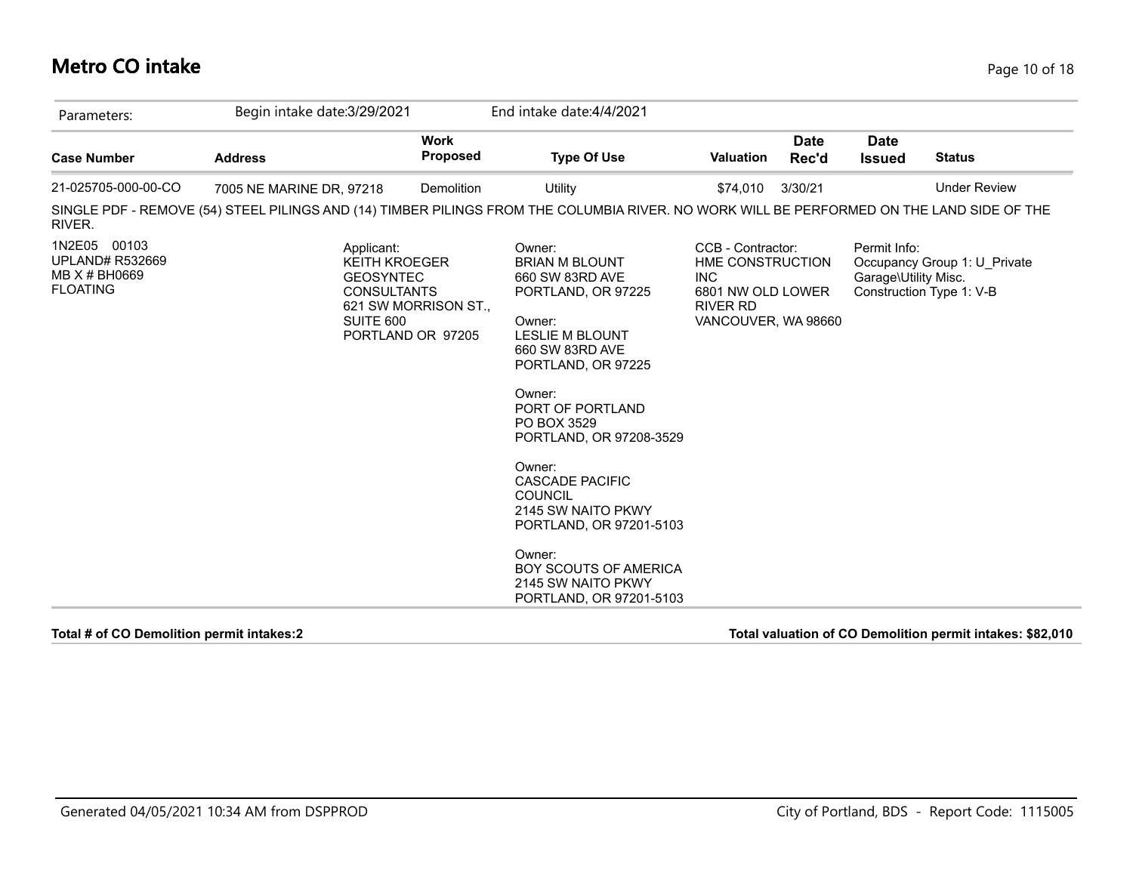### **Metro CO intake** Page 10 of 18

| Parameters:                                                                | Begin intake date: 3/29/2021 |                                                                                                                                        | End intake date: 4/4/2021                                                                                                                                                                                                                                                                                                                                                                                                |                                                                                                                    |                      |                                      |                                                          |
|----------------------------------------------------------------------------|------------------------------|----------------------------------------------------------------------------------------------------------------------------------------|--------------------------------------------------------------------------------------------------------------------------------------------------------------------------------------------------------------------------------------------------------------------------------------------------------------------------------------------------------------------------------------------------------------------------|--------------------------------------------------------------------------------------------------------------------|----------------------|--------------------------------------|----------------------------------------------------------|
| <b>Case Number</b>                                                         | <b>Address</b>               | <b>Work</b><br><b>Proposed</b>                                                                                                         | <b>Type Of Use</b>                                                                                                                                                                                                                                                                                                                                                                                                       | <b>Valuation</b>                                                                                                   | <b>Date</b><br>Rec'd | <b>Date</b><br><b>Issued</b>         | <b>Status</b>                                            |
| 21-025705-000-00-CO                                                        | 7005 NE MARINE DR, 97218     | Demolition                                                                                                                             | Utility                                                                                                                                                                                                                                                                                                                                                                                                                  | \$74,010                                                                                                           | 3/30/21              |                                      | <b>Under Review</b>                                      |
| RIVER.                                                                     |                              |                                                                                                                                        | SINGLE PDF - REMOVE (54) STEEL PILINGS AND (14) TIMBER PILINGS FROM THE COLUMBIA RIVER. NO WORK WILL BE PERFORMED ON THE LAND SIDE OF THE                                                                                                                                                                                                                                                                                |                                                                                                                    |                      |                                      |                                                          |
| 1N2E05 00103<br><b>UPLAND# R532669</b><br>MB X # BH0669<br><b>FLOATING</b> |                              | Applicant:<br><b>KEITH KROEGER</b><br><b>GEOSYNTEC</b><br><b>CONSULTANTS</b><br>621 SW MORRISON ST.,<br>SUITE 600<br>PORTLAND OR 97205 | Owner:<br><b>BRIAN M BLOUNT</b><br>660 SW 83RD AVE<br>PORTLAND, OR 97225<br>Owner:<br>LESLIE M BLOUNT<br>660 SW 83RD AVE<br>PORTLAND, OR 97225<br>Owner:<br>PORT OF PORTLAND<br>PO BOX 3529<br>PORTLAND, OR 97208-3529<br>Owner:<br><b>CASCADE PACIFIC</b><br><b>COUNCIL</b><br>2145 SW NAITO PKWY<br>PORTLAND, OR 97201-5103<br>Owner:<br><b>BOY SCOUTS OF AMERICA</b><br>2145 SW NAITO PKWY<br>PORTLAND, OR 97201-5103 | CCB - Contractor:<br>HME CONSTRUCTION<br><b>INC</b><br>6801 NW OLD LOWER<br><b>RIVER RD</b><br>VANCOUVER, WA 98660 |                      | Permit Info:<br>Garage\Utility Misc. | Occupancy Group 1: U Private<br>Construction Type 1: V-B |

**Total # of CO Demolition permit intakes:2 Total valuation of CO Demolition permit intakes: \$82,010**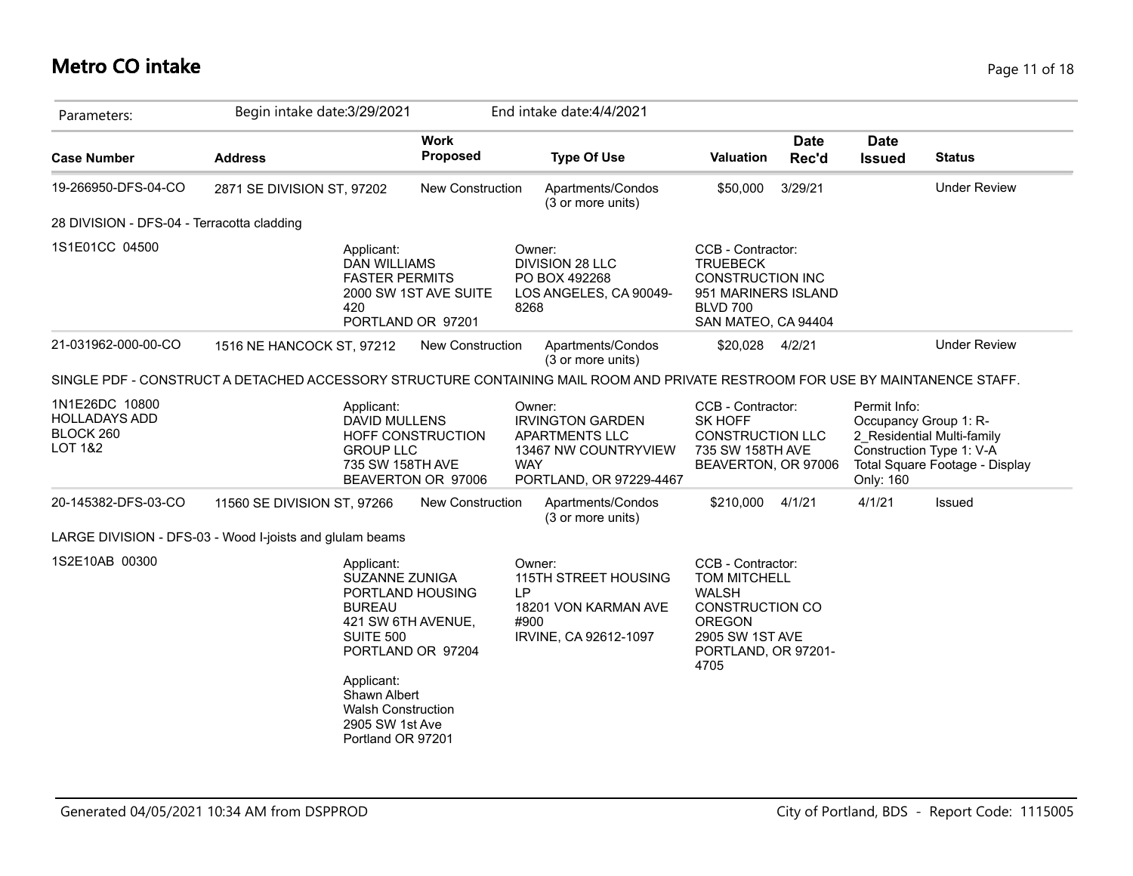### **Metro CO intake** Page 11 of 18

| Parameters:                                                    | Begin intake date: 3/29/2021                                                                                                            |                                            | End intake date: 4/4/2021                                                                                            |                                                                                                                                                |                      |                              |                                                                                                                   |
|----------------------------------------------------------------|-----------------------------------------------------------------------------------------------------------------------------------------|--------------------------------------------|----------------------------------------------------------------------------------------------------------------------|------------------------------------------------------------------------------------------------------------------------------------------------|----------------------|------------------------------|-------------------------------------------------------------------------------------------------------------------|
| <b>Case Number</b>                                             | <b>Address</b>                                                                                                                          | <b>Work</b><br><b>Proposed</b>             | <b>Type Of Use</b>                                                                                                   | <b>Valuation</b>                                                                                                                               | <b>Date</b><br>Rec'd | <b>Date</b><br><b>Issued</b> | <b>Status</b>                                                                                                     |
| 19-266950-DFS-04-CO                                            | 2871 SE DIVISION ST, 97202                                                                                                              | <b>New Construction</b>                    | Apartments/Condos<br>(3 or more units)                                                                               | \$50,000                                                                                                                                       | 3/29/21              |                              | <b>Under Review</b>                                                                                               |
| 28 DIVISION - DFS-04 - Terracotta cladding                     |                                                                                                                                         |                                            |                                                                                                                      |                                                                                                                                                |                      |                              |                                                                                                                   |
| 1S1E01CC 04500                                                 | Applicant:<br><b>DAN WILLIAMS</b><br><b>FASTER PERMITS</b><br>420                                                                       | 2000 SW 1ST AVE SUITE<br>PORTLAND OR 97201 | Owner:<br>DIVISION 28 LLC<br>PO BOX 492268<br>LOS ANGELES, CA 90049-<br>8268                                         | CCB - Contractor:<br><b>TRUEBECK</b><br><b>CONSTRUCTION INC</b><br>951 MARINERS ISLAND<br><b>BLVD 700</b><br>SAN MATEO, CA 94404               |                      |                              |                                                                                                                   |
| 21-031962-000-00-CO                                            | 1516 NE HANCOCK ST, 97212                                                                                                               | <b>New Construction</b>                    | Apartments/Condos<br>(3 or more units)                                                                               | \$20,028                                                                                                                                       | 4/2/21               |                              | <b>Under Review</b>                                                                                               |
|                                                                | SINGLE PDF - CONSTRUCT A DETACHED ACCESSORY STRUCTURE CONTAINING MAIL ROOM AND PRIVATE RESTROOM FOR USE BY MAINTANENCE STAFF.           |                                            |                                                                                                                      |                                                                                                                                                |                      |                              |                                                                                                                   |
| 1N1E26DC 10800<br><b>HOLLADAYS ADD</b><br>BLOCK 260<br>LOT 1&2 | Applicant:<br><b>DAVID MULLENS</b><br><b>GROUP LLC</b><br>735 SW 158TH AVE                                                              | HOFF CONSTRUCTION<br>BEAVERTON OR 97006    | Owner:<br><b>IRVINGTON GARDEN</b><br>APARTMENTS LLC<br>13467 NW COUNTRYVIEW<br><b>WAY</b><br>PORTLAND, OR 97229-4467 | CCB - Contractor:<br><b>SK HOFF</b><br><b>CONSTRUCTION LLC</b><br>735 SW 158TH AVE<br>BEAVERTON, OR 97006                                      |                      | Permit Info:<br>Only: 160    | Occupancy Group 1: R-<br>2 Residential Multi-family<br>Construction Type 1: V-A<br>Total Square Footage - Display |
| 20-145382-DFS-03-CO                                            | 11560 SE DIVISION ST, 97266                                                                                                             | <b>New Construction</b>                    | Apartments/Condos<br>(3 or more units)                                                                               | \$210,000                                                                                                                                      | 4/1/21               | 4/1/21                       | Issued                                                                                                            |
|                                                                | LARGE DIVISION - DFS-03 - Wood I-joists and glulam beams                                                                                |                                            |                                                                                                                      |                                                                                                                                                |                      |                              |                                                                                                                   |
| 1S2E10AB 00300                                                 | Applicant:<br>SUZANNE ZUNIGA<br>PORTLAND HOUSING<br><b>BUREAU</b><br>421 SW 6TH AVENUE,<br>SUITE 500<br>PORTLAND OR 97204<br>Applicant: |                                            | Owner:<br>115TH STREET HOUSING<br>ΙP<br>18201 VON KARMAN AVE<br>#900<br>IRVINE, CA 92612-1097                        | CCB - Contractor:<br>TOM MITCHELL<br><b>WALSH</b><br><b>CONSTRUCTION CO</b><br><b>OREGON</b><br>2905 SW 1ST AVE<br>PORTLAND, OR 97201-<br>4705 |                      |                              |                                                                                                                   |
|                                                                | Shawn Albert<br><b>Walsh Construction</b><br>2905 SW 1st Ave<br>Portland OR 97201                                                       |                                            |                                                                                                                      |                                                                                                                                                |                      |                              |                                                                                                                   |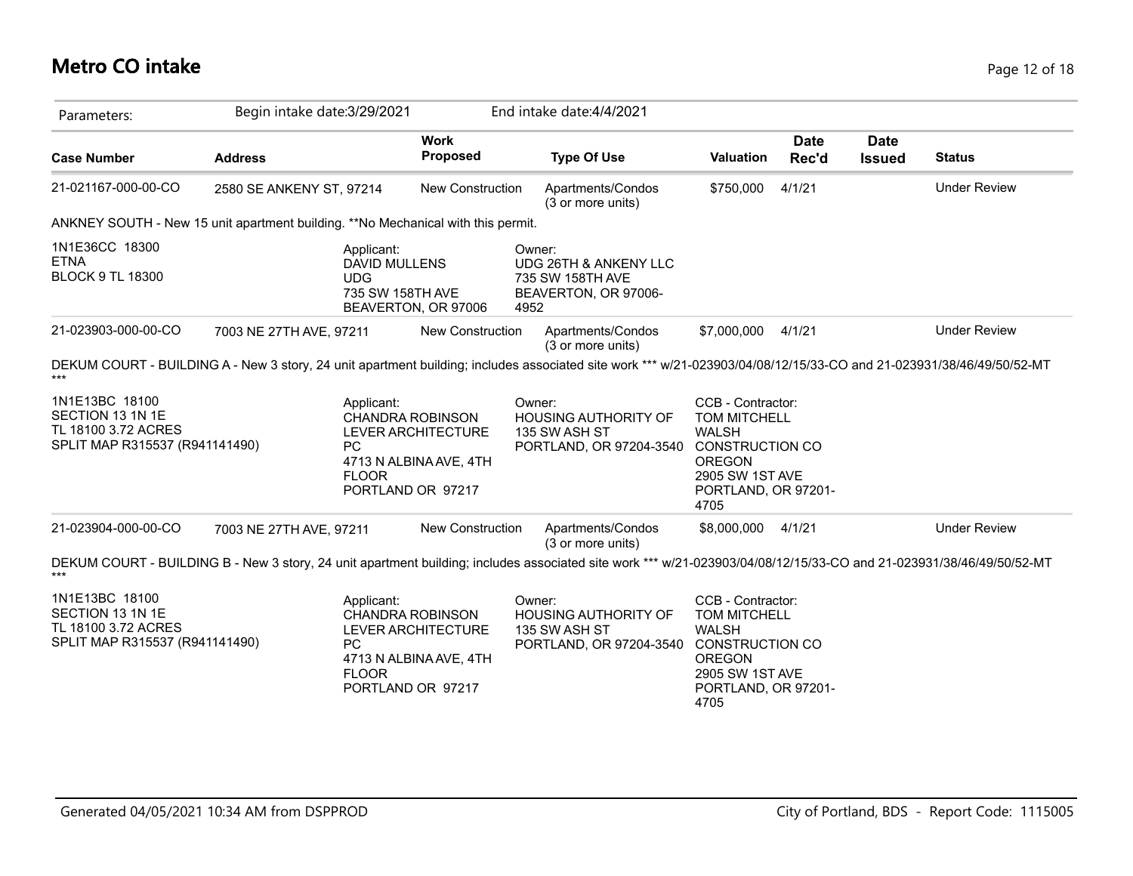| Parameters:                                                                                 | Begin intake date: 3/29/2021 |                                                                                                                                         |                | End intake date: 4/4/2021                                                                                                                                           |                                                                                                                                                       |                      |                              |                     |
|---------------------------------------------------------------------------------------------|------------------------------|-----------------------------------------------------------------------------------------------------------------------------------------|----------------|---------------------------------------------------------------------------------------------------------------------------------------------------------------------|-------------------------------------------------------------------------------------------------------------------------------------------------------|----------------------|------------------------------|---------------------|
| <b>Case Number</b>                                                                          | <b>Address</b>               | <b>Work</b><br>Proposed                                                                                                                 |                | <b>Type Of Use</b>                                                                                                                                                  | Valuation                                                                                                                                             | <b>Date</b><br>Rec'd | <b>Date</b><br><b>Issued</b> | <b>Status</b>       |
| 21-021167-000-00-CO                                                                         | 2580 SE ANKENY ST, 97214     | New Construction                                                                                                                        |                | Apartments/Condos<br>(3 or more units)                                                                                                                              | \$750,000                                                                                                                                             | 4/1/21               |                              | <b>Under Review</b> |
|                                                                                             |                              | ANKNEY SOUTH - New 15 unit apartment building. **No Mechanical with this permit.                                                        |                |                                                                                                                                                                     |                                                                                                                                                       |                      |                              |                     |
| 1N1E36CC 18300<br>ETNA<br><b>BLOCK 9 TL 18300</b>                                           |                              | Applicant:<br><b>DAVID MULLENS</b><br>UDG.<br>735 SW 158TH AVE<br>BEAVERTON, OR 97006                                                   | Owner:<br>4952 | UDG 26TH & ANKENY LLC<br>735 SW 158TH AVE<br>BEAVERTON, OR 97006-                                                                                                   |                                                                                                                                                       |                      |                              |                     |
| 21-023903-000-00-CO                                                                         | 7003 NE 27TH AVE, 97211      | <b>New Construction</b>                                                                                                                 |                | Apartments/Condos<br>(3 or more units)                                                                                                                              | \$7,000,000                                                                                                                                           | 4/1/21               |                              | <b>Under Review</b> |
| 1N1E13BC 18100<br>SECTION 13 1N 1E<br>TL 18100 3.72 ACRES<br>SPLIT MAP R315537 (R941141490) |                              | Applicant:<br>CHANDRA ROBINSON<br>LEVER ARCHITECTURE<br><b>PC</b><br>4713 N ALBINA AVE, 4TH<br><b>FLOOR</b><br>PORTLAND OR 97217        |                | Owner:<br><b>HOUSING AUTHORITY OF</b><br>135 SW ASH ST<br>PORTLAND, OR 97204-3540                                                                                   | CCB - Contractor:<br><b>TOM MITCHELL</b><br><b>WALSH</b><br><b>CONSTRUCTION CO</b><br><b>OREGON</b><br>2905 SW 1ST AVE<br>PORTLAND, OR 97201-<br>4705 |                      |                              |                     |
| 21-023904-000-00-CO                                                                         | 7003 NE 27TH AVE, 97211      | New Construction                                                                                                                        |                | Apartments/Condos<br>(3 or more units)                                                                                                                              | \$8,000,000                                                                                                                                           | 4/1/21               |                              | <b>Under Review</b> |
|                                                                                             |                              |                                                                                                                                         |                | DEKUM COURT - BUILDING B - New 3 story, 24 unit apartment building; includes associated site work *** w/21-023903/04/08/12/15/33-CO and 21-023931/38/46/49/50/52-MT |                                                                                                                                                       |                      |                              |                     |
| 1N1E13BC 18100<br>SECTION 13 1N 1E<br>TL 18100 3.72 ACRES<br>SPLIT MAP R315537 (R941141490) |                              | Applicant:<br><b>CHANDRA ROBINSON</b><br>LEVER ARCHITECTURE<br><b>PC</b><br>4713 N ALBINA AVE, 4TH<br><b>FLOOR</b><br>PORTLAND OR 97217 |                | Owner:<br><b>HOUSING AUTHORITY OF</b><br>135 SW ASH ST<br>PORTLAND, OR 97204-3540                                                                                   | CCB - Contractor:<br>TOM MITCHELL<br><b>WALSH</b><br><b>CONSTRUCTION CO</b><br><b>OREGON</b><br>2905 SW 1ST AVE<br>PORTLAND, OR 97201-<br>4705        |                      |                              |                     |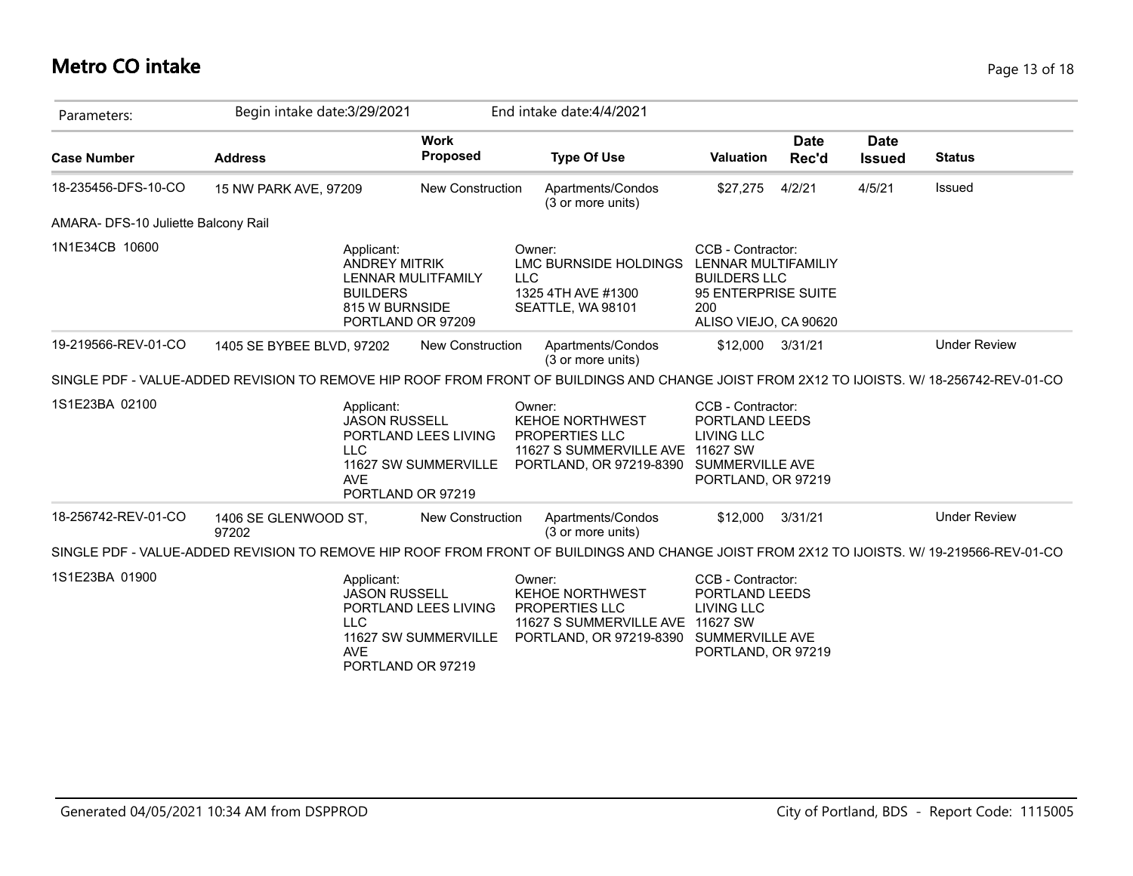# **Metro CO intake** Page 13 of 18

| Parameters:                         | Begin intake date: 3/29/2021                                                                                                               |                                              | End intake date: 4/4/2021                                                                                                                |                                                                                                                        |                      |                              |                     |
|-------------------------------------|--------------------------------------------------------------------------------------------------------------------------------------------|----------------------------------------------|------------------------------------------------------------------------------------------------------------------------------------------|------------------------------------------------------------------------------------------------------------------------|----------------------|------------------------------|---------------------|
| <b>Case Number</b>                  | <b>Address</b>                                                                                                                             | <b>Work</b><br><b>Proposed</b>               | <b>Type Of Use</b>                                                                                                                       | <b>Valuation</b>                                                                                                       | <b>Date</b><br>Rec'd | <b>Date</b><br><b>Issued</b> | <b>Status</b>       |
| 18-235456-DFS-10-CO                 | 15 NW PARK AVE, 97209                                                                                                                      | <b>New Construction</b>                      | Apartments/Condos<br>(3 or more units)                                                                                                   | \$27,275                                                                                                               | 4/2/21               | 4/5/21                       | Issued              |
| AMARA- DFS-10 Juliette Balcony Rail |                                                                                                                                            |                                              |                                                                                                                                          |                                                                                                                        |                      |                              |                     |
| 1N1E34CB 10600                      | Applicant:<br><b>ANDREY MITRIK</b><br><b>BUILDERS</b><br>815 W BURNSIDE<br>PORTLAND OR 97209                                               | <b>LLC</b><br>LENNAR MULITFAMILY             | Owner:<br>LMC BURNSIDE HOLDINGS<br>1325 4TH AVE #1300<br>SEATTLE, WA 98101                                                               | CCB - Contractor:<br>LENNAR MULTIFAMILIY<br><b>BUILDERS LLC</b><br>95 ENTERPRISE SUITE<br>200<br>ALISO VIEJO, CA 90620 |                      |                              |                     |
| 19-219566-REV-01-CO                 | 1405 SE BYBEE BLVD, 97202                                                                                                                  | New Construction                             | Apartments/Condos<br>(3 or more units)                                                                                                   | \$12,000 3/31/21                                                                                                       |                      |                              | <b>Under Review</b> |
|                                     | SINGLE PDF - VALUE-ADDED REVISION TO REMOVE HIP ROOF FROM FRONT OF BUILDINGS AND CHANGE JOIST FROM 2X12 TO IJOISTS. W/ 18-256742-REV-01-CO |                                              |                                                                                                                                          |                                                                                                                        |                      |                              |                     |
| 1S1E23BA 02100                      | Applicant:<br><b>JASON RUSSELL</b><br>LLC<br><b>AVE</b><br>PORTLAND OR 97219                                                               | PORTLAND LEES LIVING<br>11627 SW SUMMERVILLE | Owner:<br><b>KEHOE NORTHWEST</b><br>PROPERTIES LLC<br>11627 S SUMMERVILLE AVE 11627 SW<br>PORTLAND, OR 97219-8390 SUMMERVILLE AVE        | CCB - Contractor:<br>PORTLAND LEEDS<br><b>LIVING LLC</b><br>PORTLAND, OR 97219                                         |                      |                              |                     |
| 18-256742-REV-01-CO                 | 1406 SE GLENWOOD ST,<br>97202                                                                                                              | New Construction                             | Apartments/Condos<br>(3 or more units)                                                                                                   | \$12,000                                                                                                               | 3/31/21              |                              | <b>Under Review</b> |
|                                     | SINGLE PDF - VALUE-ADDED REVISION TO REMOVE HIP ROOF FROM FRONT OF BUILDINGS AND CHANGE JOIST FROM 2X12 TO IJOISTS. W/ 19-219566-REV-01-CO |                                              |                                                                                                                                          |                                                                                                                        |                      |                              |                     |
| 1S1E23BA 01900                      | Applicant:<br><b>JASON RUSSELL</b><br><b>LLC</b><br><b>AVE</b><br>PORTLAND OR 97219                                                        | PORTLAND LEES LIVING<br>11627 SW SUMMERVILLE | Owner:<br><b>KEHOE NORTHWEST</b><br><b>PROPERTIES LLC</b><br>11627 S SUMMERVILLE AVE 11627 SW<br>PORTLAND, OR 97219-8390 SUMMERVILLE AVE | CCB - Contractor:<br>PORTLAND LEEDS<br><b>LIVING LLC</b><br>PORTLAND, OR 97219                                         |                      |                              |                     |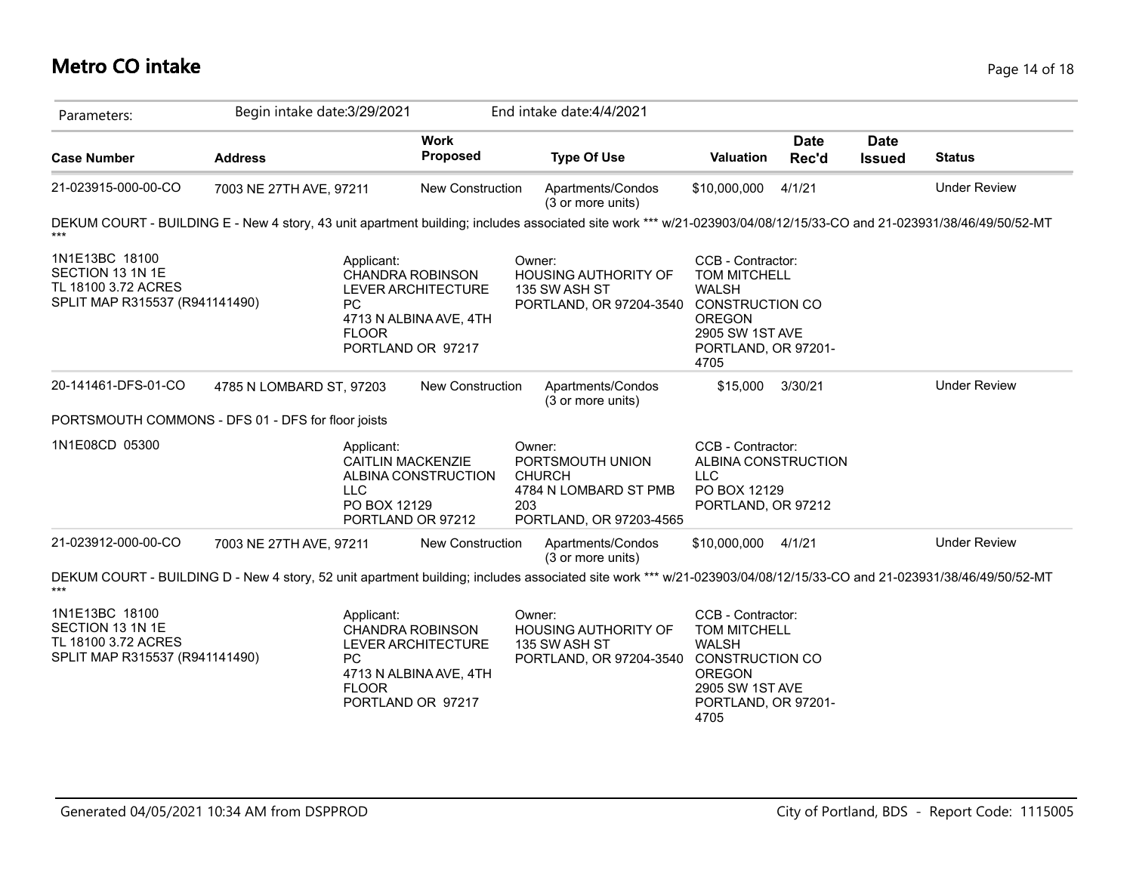### **Metro CO intake** Page 14 of 18

| Parameters:                                                                                 | Begin intake date: 3/29/2021 |                                                                                                                                  |                         | End intake date: 4/4/2021                                                                                                                                           |                                                                                                                             |                      |                              |                     |
|---------------------------------------------------------------------------------------------|------------------------------|----------------------------------------------------------------------------------------------------------------------------------|-------------------------|---------------------------------------------------------------------------------------------------------------------------------------------------------------------|-----------------------------------------------------------------------------------------------------------------------------|----------------------|------------------------------|---------------------|
| <b>Case Number</b>                                                                          | <b>Address</b>               |                                                                                                                                  | <b>Work</b><br>Proposed | <b>Type Of Use</b>                                                                                                                                                  | Valuation                                                                                                                   | <b>Date</b><br>Rec'd | <b>Date</b><br><b>Issued</b> | <b>Status</b>       |
| 21-023915-000-00-CO                                                                         | 7003 NE 27TH AVE, 97211      |                                                                                                                                  | New Construction        | Apartments/Condos<br>(3 or more units)                                                                                                                              | \$10,000,000                                                                                                                | 4/1/21               |                              | <b>Under Review</b> |
|                                                                                             |                              |                                                                                                                                  |                         | DEKUM COURT - BUILDING E - New 4 story, 43 unit apartment building; includes associated site work *** w/21-023903/04/08/12/15/33-CO and 21-023931/38/46/49/50/52-MT |                                                                                                                             |                      |                              |                     |
| 1N1E13BC 18100<br>SECTION 13 1N 1E<br>TL 18100 3.72 ACRES<br>SPLIT MAP R315537 (R941141490) |                              | Applicant:<br>CHANDRA ROBINSON<br>LEVER ARCHITECTURE<br>PC<br>4713 N ALBINA AVE, 4TH<br><b>FLOOR</b><br>PORTLAND OR 97217        |                         | Owner:<br><b>HOUSING AUTHORITY OF</b><br>135 SW ASH ST<br>PORTLAND, OR 97204-3540 CONSTRUCTION CO                                                                   | CCB - Contractor:<br><b>TOM MITCHELL</b><br><b>WALSH</b><br><b>OREGON</b><br>2905 SW 1ST AVE<br>PORTLAND, OR 97201-<br>4705 |                      |                              |                     |
| 20-141461-DFS-01-CO                                                                         | 4785 N LOMBARD ST, 97203     |                                                                                                                                  | New Construction        | Apartments/Condos<br>(3 or more units)                                                                                                                              | \$15,000                                                                                                                    | 3/30/21              |                              | <b>Under Review</b> |
| PORTSMOUTH COMMONS - DFS 01 - DFS for floor joists                                          |                              |                                                                                                                                  |                         |                                                                                                                                                                     |                                                                                                                             |                      |                              |                     |
| 1N1E08CD 05300                                                                              |                              | Applicant:<br><b>CAITLIN MACKENZIE</b><br><b>LLC</b><br>PO BOX 12129<br>PORTLAND OR 97212                                        | ALBINA CONSTRUCTION     | Owner:<br>PORTSMOUTH UNION<br><b>CHURCH</b><br>4784 N LOMBARD ST PMB<br>203<br>PORTLAND, OR 97203-4565                                                              | CCB - Contractor:<br>ALBINA CONSTRUCTION<br><b>LLC</b><br>PO BOX 12129<br>PORTLAND, OR 97212                                |                      |                              |                     |
| 21-023912-000-00-CO                                                                         | 7003 NE 27TH AVE, 97211      |                                                                                                                                  | New Construction        | Apartments/Condos<br>(3 or more units)                                                                                                                              | \$10,000,000 4/1/21                                                                                                         |                      |                              | <b>Under Review</b> |
|                                                                                             |                              |                                                                                                                                  |                         | DEKUM COURT - BUILDING D - New 4 story, 52 unit apartment building; includes associated site work *** w/21-023903/04/08/12/15/33-CO and 21-023931/38/46/49/50/52-MT |                                                                                                                             |                      |                              |                     |
| 1N1E13BC 18100<br>SECTION 13 1N 1E<br>TL 18100 3.72 ACRES<br>SPLIT MAP R315537 (R941141490) |                              | Applicant:<br><b>CHANDRA ROBINSON</b><br>LEVER ARCHITECTURE<br>PC<br>4713 N ALBINA AVE, 4TH<br><b>FLOOR</b><br>PORTLAND OR 97217 |                         | Owner:<br><b>HOUSING AUTHORITY OF</b><br>135 SW ASH ST<br>PORTLAND, OR 97204-3540 CONSTRUCTION CO                                                                   | CCB - Contractor:<br><b>TOM MITCHELL</b><br><b>WALSH</b><br><b>OREGON</b><br>2905 SW 1ST AVE<br>PORTLAND, OR 97201-<br>4705 |                      |                              |                     |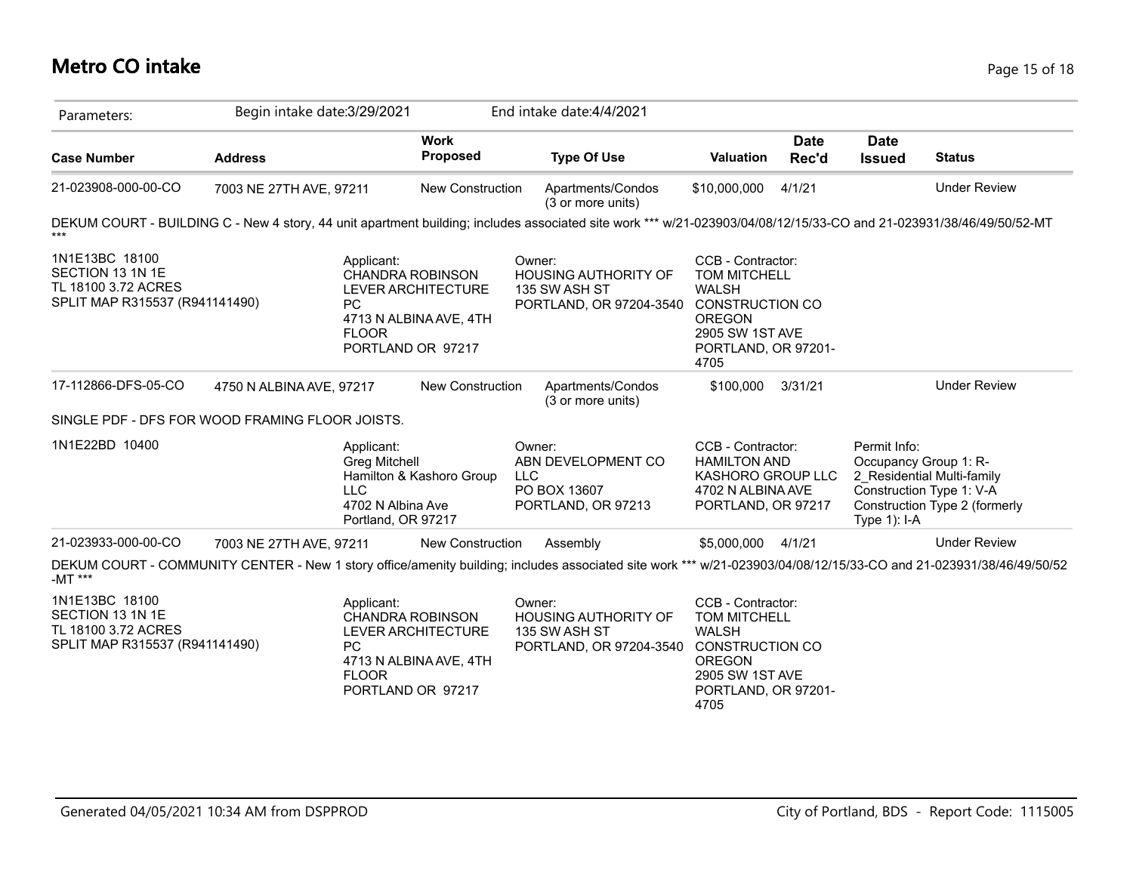### **Metro CO intake** Page 15 of 18

| Parameters:                                                                                 | Begin intake date: 3/29/2021                                                                                                                                        |                                                                                              | End intake date: 4/4/2021                                                                  |                                                                                                                                                       |                      |                                 |                                                                                                                  |
|---------------------------------------------------------------------------------------------|---------------------------------------------------------------------------------------------------------------------------------------------------------------------|----------------------------------------------------------------------------------------------|--------------------------------------------------------------------------------------------|-------------------------------------------------------------------------------------------------------------------------------------------------------|----------------------|---------------------------------|------------------------------------------------------------------------------------------------------------------|
| <b>Case Number</b>                                                                          | <b>Address</b>                                                                                                                                                      | <b>Work</b><br><b>Proposed</b>                                                               | <b>Type Of Use</b>                                                                         | Valuation                                                                                                                                             | <b>Date</b><br>Rec'd | <b>Date</b><br><b>Issued</b>    | <b>Status</b>                                                                                                    |
| 21-023908-000-00-CO                                                                         | 7003 NE 27TH AVE, 97211                                                                                                                                             | New Construction                                                                             | Apartments/Condos<br>(3 or more units)                                                     | \$10,000,000                                                                                                                                          | 4/1/21               |                                 | <b>Under Review</b>                                                                                              |
|                                                                                             | DEKUM COURT - BUILDING C - New 4 story, 44 unit apartment building; includes associated site work *** w/21-023903/04/08/12/15/33-CO and 21-023931/38/46/49/50/52-MT |                                                                                              |                                                                                            |                                                                                                                                                       |                      |                                 |                                                                                                                  |
| 1N1E13BC 18100<br>SECTION 13 1N 1E<br>TL 18100 3.72 ACRES<br>SPLIT MAP R315537 (R941141490) | Applicant:<br><b>PC</b><br><b>FLOOR</b>                                                                                                                             | <b>CHANDRA ROBINSON</b><br>LEVER ARCHITECTURE<br>4713 N ALBINA AVE, 4TH<br>PORTLAND OR 97217 | Owner:<br>HOUSING AUTHORITY OF<br>135 SW ASH ST<br>PORTLAND, OR 97204-3540 CONSTRUCTION CO | CCB - Contractor:<br>TOM MITCHELL<br><b>WALSH</b><br><b>OREGON</b><br>2905 SW 1ST AVE<br>PORTLAND, OR 97201-<br>4705                                  |                      |                                 |                                                                                                                  |
| 17-112866-DFS-05-CO                                                                         | 4750 N ALBINA AVE, 97217                                                                                                                                            | New Construction                                                                             | Apartments/Condos<br>(3 or more units)                                                     | \$100,000                                                                                                                                             | 3/31/21              |                                 | <b>Under Review</b>                                                                                              |
|                                                                                             | SINGLE PDF - DFS FOR WOOD FRAMING FLOOR JOISTS.                                                                                                                     |                                                                                              |                                                                                            |                                                                                                                                                       |                      |                                 |                                                                                                                  |
| 1N1E22BD 10400                                                                              | Applicant:<br><b>Greg Mitchell</b><br><b>LLC</b>                                                                                                                    | Hamilton & Kashoro Group<br>4702 N Albina Ave<br>Portland, OR 97217                          | Owner:<br>ABN DEVELOPMENT CO<br><b>LLC</b><br>PO BOX 13607<br>PORTLAND, OR 97213           | CCB - Contractor:<br><b>HAMILTON AND</b><br>KASHORO GROUP LLC<br>4702 N ALBINA AVE<br>PORTLAND, OR 97217                                              |                      | Permit Info:<br>Type $1$ ): I-A | Occupancy Group 1: R-<br>2 Residential Multi-family<br>Construction Type 1: V-A<br>Construction Type 2 (formerly |
| 21-023933-000-00-CO                                                                         | 7003 NE 27TH AVE, 97211                                                                                                                                             | <b>New Construction</b>                                                                      | Assembly                                                                                   | \$5,000,000 4/1/21                                                                                                                                    |                      |                                 | <b>Under Review</b>                                                                                              |
| -MT ***                                                                                     | DEKUM COURT - COMMUNITY CENTER - New 1 story office/amenity building; includes associated site work *** w/21-023903/04/08/12/15/33-CO and 21-023931/38/46/49/50/52  |                                                                                              |                                                                                            |                                                                                                                                                       |                      |                                 |                                                                                                                  |
| 1N1E13BC 18100<br>SECTION 13 1N 1E<br>TL 18100 3.72 ACRES<br>SPLIT MAP R315537 (R941141490) | Applicant:<br>PC.<br><b>FLOOR</b>                                                                                                                                   | CHANDRA ROBINSON<br>LEVER ARCHITECTURE<br>4713 N ALBINA AVE, 4TH<br>PORTLAND OR 97217        | Owner:<br>HOUSING AUTHORITY OF<br>135 SW ASH ST<br>PORTLAND, OR 97204-3540                 | CCB - Contractor:<br><b>TOM MITCHELL</b><br><b>WALSH</b><br><b>CONSTRUCTION CO</b><br><b>OREGON</b><br>2905 SW 1ST AVE<br>PORTLAND, OR 97201-<br>4705 |                      |                                 |                                                                                                                  |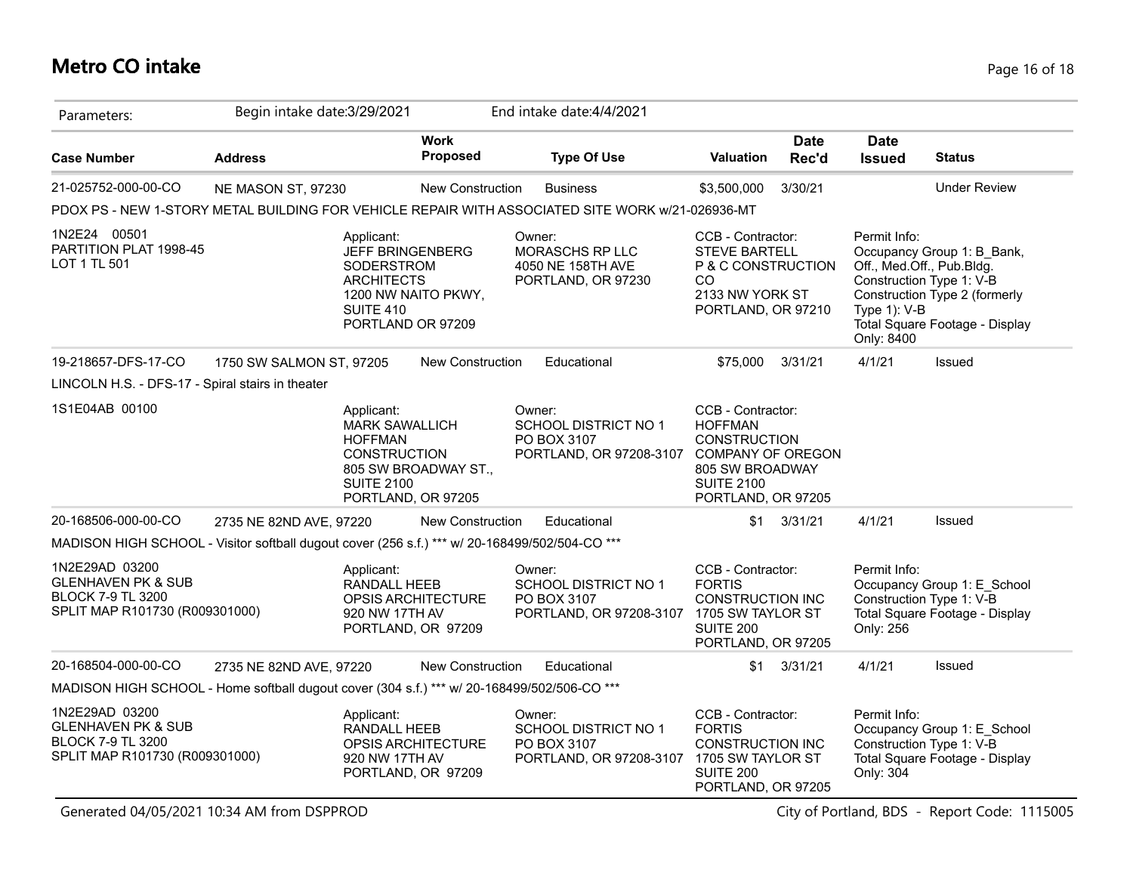### **Metro CO intake** Page 16 of 18

| Parameters:                                                                                                   | Begin intake date: 3/29/2021 |                                                                                                                                                                                                                                                                                                                                                                                  |                                          | End intake date: 4/4/2021                                                                        |                                                                                                                              |                      |                                            |                                                                                                                                                        |
|---------------------------------------------------------------------------------------------------------------|------------------------------|----------------------------------------------------------------------------------------------------------------------------------------------------------------------------------------------------------------------------------------------------------------------------------------------------------------------------------------------------------------------------------|------------------------------------------|--------------------------------------------------------------------------------------------------|------------------------------------------------------------------------------------------------------------------------------|----------------------|--------------------------------------------|--------------------------------------------------------------------------------------------------------------------------------------------------------|
| <b>Case Number</b>                                                                                            | <b>Address</b>               |                                                                                                                                                                                                                                                                                                                                                                                  | <b>Work</b><br>Proposed                  | <b>Type Of Use</b>                                                                               | Valuation                                                                                                                    | <b>Date</b><br>Rec'd | <b>Date</b><br><b>Issued</b>               | <b>Status</b>                                                                                                                                          |
| 21-025752-000-00-CO                                                                                           | NE MASON ST, 97230           |                                                                                                                                                                                                                                                                                                                                                                                  | New Construction                         | <b>Business</b>                                                                                  | \$3,500,000                                                                                                                  | 3/30/21              |                                            | <b>Under Review</b>                                                                                                                                    |
|                                                                                                               |                              |                                                                                                                                                                                                                                                                                                                                                                                  |                                          | PDOX PS - NEW 1-STORY METAL BUILDING FOR VEHICLE REPAIR WITH ASSOCIATED SITE WORK w/21-026936-MT |                                                                                                                              |                      |                                            |                                                                                                                                                        |
| 1N2E24 00501<br>PARTITION PLAT 1998-45<br>LOT 1 TL 501                                                        |                              | Applicant:<br><b>JEFF BRINGENBERG</b><br>SODERSTROM<br><b>ARCHITECTS</b><br><b>SUITE 410</b><br>PORTLAND OR 97209                                                                                                                                                                                                                                                                | 1200 NW NAITO PKWY,                      | Owner:<br>MORASCHS RP LLC<br>4050 NE 158TH AVE<br>PORTLAND, OR 97230                             | CCB - Contractor:<br><b>STEVE BARTELL</b><br>P & C CONSTRUCTION<br>CO.<br>2133 NW YORK ST<br>PORTLAND, OR 97210              |                      | Permit Info:<br>Type 1): V-B<br>Only: 8400 | Occupancy Group 1: B_Bank,<br>Off., Med.Off., Pub.Bldg.<br>Construction Type 1: V-B<br>Construction Type 2 (formerly<br>Total Square Footage - Display |
| 19-218657-DFS-17-CO                                                                                           | 1750 SW SALMON ST, 97205     |                                                                                                                                                                                                                                                                                                                                                                                  | New Construction                         | Educational                                                                                      | \$75,000                                                                                                                     | 3/31/21              | 4/1/21                                     | Issued                                                                                                                                                 |
| LINCOLN H.S. - DFS-17 - Spiral stairs in theater                                                              |                              |                                                                                                                                                                                                                                                                                                                                                                                  |                                          |                                                                                                  |                                                                                                                              |                      |                                            |                                                                                                                                                        |
| 1S1E04AB 00100                                                                                                |                              | CCB - Contractor:<br>Applicant:<br>Owner:<br><b>MARK SAWALLICH</b><br><b>SCHOOL DISTRICT NO 1</b><br><b>HOFFMAN</b><br><b>HOFFMAN</b><br>PO BOX 3107<br><b>CONSTRUCTION</b><br>PORTLAND, OR 97208-3107 COMPANY OF OREGON<br><b>CONSTRUCTION</b><br>805 SW BROADWAY ST.,<br>805 SW BROADWAY<br><b>SUITE 2100</b><br><b>SUITE 2100</b><br>PORTLAND, OR 97205<br>PORTLAND, OR 97205 |                                          |                                                                                                  |                                                                                                                              |                      |                                            |                                                                                                                                                        |
| 20-168506-000-00-CO                                                                                           | 2735 NE 82ND AVE, 97220      |                                                                                                                                                                                                                                                                                                                                                                                  | New Construction                         | Educational                                                                                      | \$1                                                                                                                          | 3/31/21              | 4/1/21                                     | Issued                                                                                                                                                 |
| MADISON HIGH SCHOOL - Visitor softball dugout cover (256 s.f.) *** w/ 20-168499/502/504-CO ***                |                              |                                                                                                                                                                                                                                                                                                                                                                                  |                                          |                                                                                                  |                                                                                                                              |                      |                                            |                                                                                                                                                        |
| 1N2E29AD 03200<br><b>GLENHAVEN PK &amp; SUB</b><br><b>BLOCK 7-9 TL 3200</b><br>SPLIT MAP R101730 (R009301000) |                              | Applicant:<br>RANDALL HEEB<br>920 NW 17TH AV                                                                                                                                                                                                                                                                                                                                     | OPSIS ARCHITECTURE<br>PORTLAND, OR 97209 | Owner:<br>SCHOOL DISTRICT NO 1<br>PO BOX 3107<br>PORTLAND, OR 97208-3107                         | CCB - Contractor:<br><b>FORTIS</b><br><b>CONSTRUCTION INC</b><br>1705 SW TAYLOR ST<br><b>SUITE 200</b><br>PORTLAND, OR 97205 |                      | Permit Info:<br>Only: 256                  | Occupancy Group 1: E_School<br>Construction Type 1: V-B<br>Total Square Footage - Display                                                              |
| 20-168504-000-00-CO                                                                                           | 2735 NE 82ND AVE, 97220      |                                                                                                                                                                                                                                                                                                                                                                                  | <b>New Construction</b>                  | Educational                                                                                      | \$1                                                                                                                          | 3/31/21              | 4/1/21                                     | Issued                                                                                                                                                 |
| MADISON HIGH SCHOOL - Home softball dugout cover (304 s.f.) *** w/ 20-168499/502/506-CO ***                   |                              |                                                                                                                                                                                                                                                                                                                                                                                  |                                          |                                                                                                  |                                                                                                                              |                      |                                            |                                                                                                                                                        |
| 1N2E29AD 03200<br><b>GLENHAVEN PK &amp; SUB</b><br><b>BLOCK 7-9 TL 3200</b><br>SPLIT MAP R101730 (R009301000) |                              | Applicant:<br>RANDALL HEEB<br>920 NW 17TH AV                                                                                                                                                                                                                                                                                                                                     | OPSIS ARCHITECTURE<br>PORTLAND, OR 97209 | Owner:<br>SCHOOL DISTRICT NO 1<br>PO BOX 3107<br>PORTLAND, OR 97208-3107                         | CCB - Contractor:<br><b>FORTIS</b><br><b>CONSTRUCTION INC</b><br>1705 SW TAYLOR ST<br><b>SUITE 200</b><br>PORTLAND, OR 97205 |                      | Permit Info:<br>Only: 304                  | Occupancy Group 1: E_School<br>Construction Type 1: V-B<br>Total Square Footage - Display                                                              |

Generated 04/05/2021 10:34 AM from DSPPROD City of Portland, BDS - Report Code: 1115005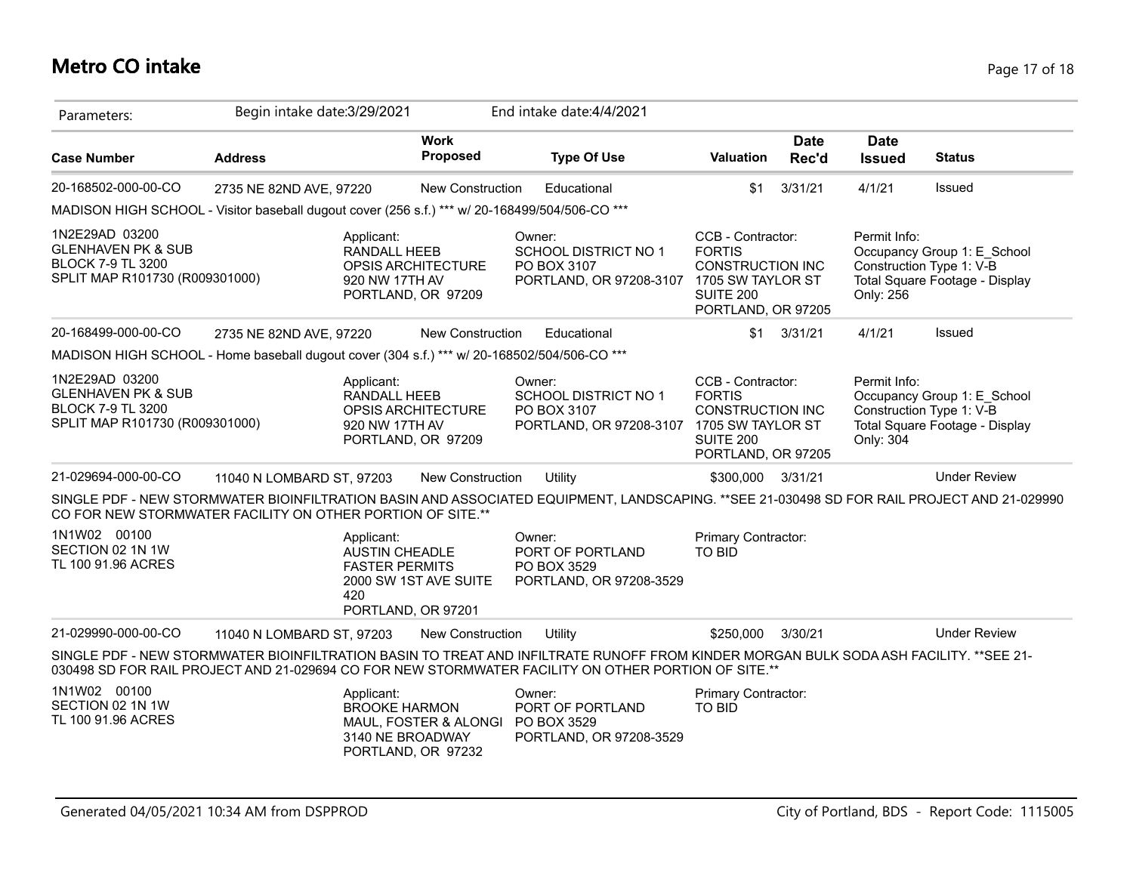### **Metro CO intake** Page 17 of 18

| Parameters:                                                                                                   | Begin intake date: 3/29/2021                 |                                                                                           |                                                                                                                                                                                 | End intake date: 4/4/2021                                                                                                                                                                                                                    |                                                                                                         |                      |                                                                                                                        |                                                                                           |
|---------------------------------------------------------------------------------------------------------------|----------------------------------------------|-------------------------------------------------------------------------------------------|---------------------------------------------------------------------------------------------------------------------------------------------------------------------------------|----------------------------------------------------------------------------------------------------------------------------------------------------------------------------------------------------------------------------------------------|---------------------------------------------------------------------------------------------------------|----------------------|------------------------------------------------------------------------------------------------------------------------|-------------------------------------------------------------------------------------------|
| <b>Case Number</b>                                                                                            | <b>Address</b>                               |                                                                                           | <b>Work</b><br>Proposed                                                                                                                                                         | <b>Type Of Use</b>                                                                                                                                                                                                                           | <b>Valuation</b>                                                                                        | <b>Date</b><br>Rec'd | <b>Date</b><br><b>Issued</b>                                                                                           | <b>Status</b>                                                                             |
| 20-168502-000-00-CO                                                                                           | 2735 NE 82ND AVE, 97220                      |                                                                                           | <b>New Construction</b>                                                                                                                                                         | Educational                                                                                                                                                                                                                                  | \$1                                                                                                     | 3/31/21              | 4/1/21                                                                                                                 | Issued                                                                                    |
| MADISON HIGH SCHOOL - Visitor baseball dugout cover (256 s.f.) *** w/ 20-168499/504/506-CO ***                |                                              |                                                                                           |                                                                                                                                                                                 |                                                                                                                                                                                                                                              |                                                                                                         |                      |                                                                                                                        |                                                                                           |
| 1N2E29AD 03200<br><b>GLENHAVEN PK &amp; SUB</b><br><b>BLOCK 7-9 TL 3200</b><br>SPLIT MAP R101730 (R009301000) |                                              | Applicant:<br>RANDALL HEEB<br>920 NW 17TH AV                                              | OPSIS ARCHITECTURE<br>PORTLAND, OR 97209                                                                                                                                        | Owner:<br><b>SCHOOL DISTRICT NO 1</b><br>PO BOX 3107<br>PORTLAND, OR 97208-3107 1705 SW TAYLOR ST                                                                                                                                            | CCB - Contractor:<br><b>FORTIS</b><br><b>CONSTRUCTION INC</b><br><b>SUITE 200</b><br>PORTLAND, OR 97205 |                      | Permit Info:<br>Only: 256                                                                                              | Occupancy Group 1: E School<br>Construction Type 1: V-B<br>Total Square Footage - Display |
| 20-168499-000-00-CO                                                                                           | 2735 NE 82ND AVE, 97220                      |                                                                                           | <b>New Construction</b>                                                                                                                                                         | Educational                                                                                                                                                                                                                                  | \$1                                                                                                     | 3/31/21              | 4/1/21                                                                                                                 | Issued                                                                                    |
| MADISON HIGH SCHOOL - Home baseball dugout cover (304 s.f.) *** w/ 20-168502/504/506-CO ***                   |                                              |                                                                                           |                                                                                                                                                                                 |                                                                                                                                                                                                                                              |                                                                                                         |                      |                                                                                                                        |                                                                                           |
| 1N2E29AD 03200<br><b>GLENHAVEN PK &amp; SUB</b><br><b>BLOCK 7-9 TL 3200</b>                                   | Applicant:<br>SPLIT MAP R101730 (R009301000) |                                                                                           | Owner:<br>RANDALL HEEB<br><b>SCHOOL DISTRICT NO 1</b><br>OPSIS ARCHITECTURE<br>PO BOX 3107<br>920 NW 17TH AV<br>PORTLAND, OR 97208-3107 1705 SW TAYLOR ST<br>PORTLAND, OR 97209 |                                                                                                                                                                                                                                              | CCB - Contractor:<br><b>FORTIS</b><br><b>CONSTRUCTION INC</b><br><b>SUITE 200</b><br>PORTLAND, OR 97205 |                      | Permit Info:<br>Occupancy Group 1: E School<br>Construction Type 1: V-B<br>Total Square Footage - Display<br>Only: 304 |                                                                                           |
| 21-029694-000-00-CO                                                                                           | 11040 N LOMBARD ST, 97203                    |                                                                                           | New Construction                                                                                                                                                                | Utility                                                                                                                                                                                                                                      | \$300,000                                                                                               | 3/31/21              |                                                                                                                        | <b>Under Review</b>                                                                       |
| CO FOR NEW STORMWATER FACILITY ON OTHER PORTION OF SITE.**                                                    |                                              |                                                                                           |                                                                                                                                                                                 | SINGLE PDF - NEW STORMWATER BIOINFILTRATION BASIN AND ASSOCIATED EQUIPMENT, LANDSCAPING. **SEE 21-030498 SD FOR RAIL PROJECT AND 21-029990                                                                                                   |                                                                                                         |                      |                                                                                                                        |                                                                                           |
| 1N1W02 00100<br>SECTION 02 1N 1W<br>TL 100 91.96 ACRES                                                        |                                              | Applicant:<br><b>AUSTIN CHEADLE</b><br><b>FASTER PERMITS</b><br>420<br>PORTLAND, OR 97201 | 2000 SW 1ST AVE SUITE                                                                                                                                                           | Owner:<br>PORT OF PORTLAND<br>PO BOX 3529<br>PORTLAND, OR 97208-3529                                                                                                                                                                         | <b>Primary Contractor:</b><br><b>TO BID</b>                                                             |                      |                                                                                                                        |                                                                                           |
| 21-029990-000-00-CO                                                                                           | 11040 N LOMBARD ST, 97203                    |                                                                                           | New Construction                                                                                                                                                                | Utility                                                                                                                                                                                                                                      | \$250,000                                                                                               | 3/30/21              |                                                                                                                        | <b>Under Review</b>                                                                       |
|                                                                                                               |                                              |                                                                                           |                                                                                                                                                                                 | SINGLE PDF - NEW STORMWATER BIOINFILTRATION BASIN TO TREAT AND INFILTRATE RUNOFF FROM KINDER MORGAN BULK SODA ASH FACILITY. **SEE 21-<br>030498 SD FOR RAIL PROJECT AND 21-029694 CO FOR NEW STORMWATER FACILITY ON OTHER PORTION OF SITE.** |                                                                                                         |                      |                                                                                                                        |                                                                                           |
| 1N1W02 00100<br>SECTION 02 1N 1W<br>TL 100 91.96 ACRES                                                        |                                              | Applicant:<br><b>BROOKE HARMON</b><br>3140 NE BROADWAY                                    | MAUL, FOSTER & ALONGI<br>PORTLAND, OR 97232                                                                                                                                     | Owner:<br>PORT OF PORTLAND<br>PO BOX 3529<br>PORTLAND, OR 97208-3529                                                                                                                                                                         | <b>Primary Contractor:</b><br><b>TO BID</b>                                                             |                      |                                                                                                                        |                                                                                           |